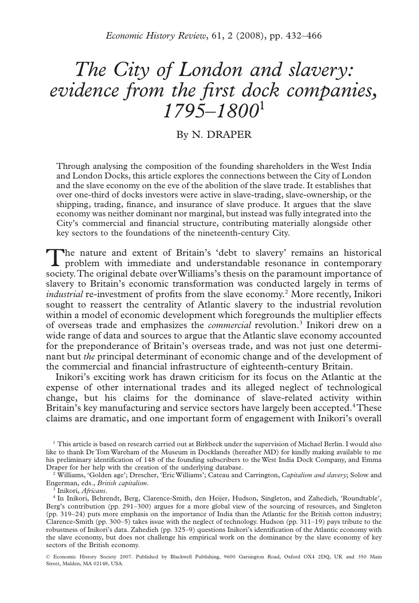# *The City of London and slavery: evidence from the first dock companies, 1795–1800*<sup>1</sup>

## By N. DRAPER

Through analysing the composition of the founding shareholders in the West India and London Docks, this article explores the connections between the City of London and the slave economy on the eve of the abolition of the slave trade. It establishes that over one-third of docks investors were active in slave-trading, slave-ownership, or the shipping, trading, finance, and insurance of slave produce. It argues that the slave economy was neither dominant nor marginal, but instead was fully integrated into the City's commercial and financial structure, contributing materially alongside other key sectors to the foundations of the nineteenth-century City.

The nature and extent of Britain's 'debt to slavery' remains an historical problem with immediate and understandable resonance in contemporary society.The original debate overWilliams's thesis on the paramount importance of slavery to Britain's economic transformation was conducted largely in terms of *industrial* re-investment of profits from the slave economy.<sup>2</sup> More recently, Inikori sought to reassert the centrality of Atlantic slavery to the industrial revolution within a model of economic development which foregrounds the multiplier effects of overseas trade and emphasizes the *commercial* revolution.3 Inikori drew on a wide range of data and sources to argue that the Atlantic slave economy accounted for the preponderance of Britain's overseas trade, and was not just one determinant but *the* principal determinant of economic change and of the development of the commercial and financial infrastructure of eighteenth-century Britain.

Inikori's exciting work has drawn criticism for its focus on the Atlantic at the expense of other international trades and its alleged neglect of technological change, but his claims for the dominance of slave-related activity within Britain's key manufacturing and service sectors have largely been accepted.<sup>4</sup>These claims are dramatic, and one important form of engagement with Inikori's overall

<sup>2</sup> Williams, 'Golden age'; Drescher, 'EricWilliams'; Cateau and Carrington, *Capitalism and slavery*; Solow and Engerman, eds., *British capitalism*.

<sup>3</sup> Inikori, *Africans*.

<sup>&</sup>lt;sup>1</sup> This article is based on research carried out at Birkbeck under the supervision of Michael Berlin. I would also like to thank Dr Tom Wareham of the Museum in Docklands (hereafter MD) for kindly making available to me his preliminary identification of 148 of the founding subscribers to the West India Dock Company, and Emma Draper for her help with the creation of the underlying database.

<sup>4</sup> In Inikori, Behrendt, Berg, Clarence-Smith, den Heijer, Hudson, Singleton, and Zahedieh, 'Roundtable', Berg's contribution (pp. 291–300) argues for a more global view of the sourcing of resources, and Singleton (pp. 319–24) puts more emphasis on the importance of India than the Atlantic for the British cotton industry; Clarence-Smith (pp. 300–5) takes issue with the neglect of technology. Hudson (pp. 311–19) pays tribute to the robustness of Inikori's data. Zahedieh (pp. 325–9) questions Inikori's identification of the Atlantic economy with the slave economy, but does not challenge his empirical work on the dominance by the slave economy of key sectors of the British economy.

<sup>©</sup> Economic History Society 2007. Published by Blackwell Publishing, 9600 Garsington Road, Oxford OX4 2DQ, UK and 350 Main Street, Malden, MA 02148, USA.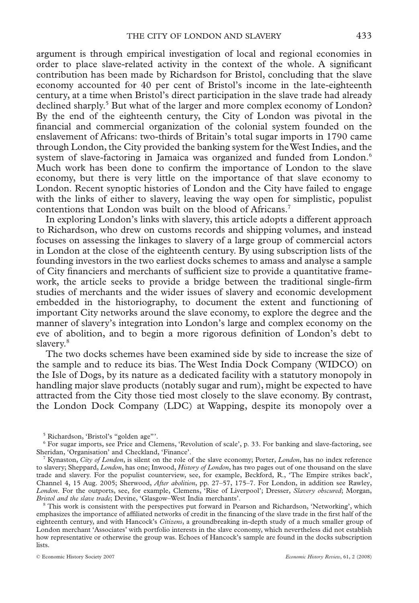argument is through empirical investigation of local and regional economies in order to place slave-related activity in the context of the whole. A significant contribution has been made by Richardson for Bristol, concluding that the slave economy accounted for 40 per cent of Bristol's income in the late-eighteenth century, at a time when Bristol's direct participation in the slave trade had already declined sharply.<sup>5</sup> But what of the larger and more complex economy of London? By the end of the eighteenth century, the City of London was pivotal in the financial and commercial organization of the colonial system founded on the enslavement of Africans: two-thirds of Britain's total sugar imports in 1790 came through London, the City provided the banking system for theWest Indies, and the system of slave-factoring in Jamaica was organized and funded from London.<sup>6</sup> Much work has been done to confirm the importance of London to the slave economy, but there is very little on the importance of that slave economy to London. Recent synoptic histories of London and the City have failed to engage with the links of either to slavery, leaving the way open for simplistic, populist contentions that London was built on the blood of Africans.7

In exploring London's links with slavery, this article adopts a different approach to Richardson, who drew on customs records and shipping volumes, and instead focuses on assessing the linkages to slavery of a large group of commercial actors in London at the close of the eighteenth century. By using subscription lists of the founding investors in the two earliest docks schemes to amass and analyse a sample of City financiers and merchants of sufficient size to provide a quantitative framework, the article seeks to provide a bridge between the traditional single-firm studies of merchants and the wider issues of slavery and economic development embedded in the historiography, to document the extent and functioning of important City networks around the slave economy, to explore the degree and the manner of slavery's integration into London's large and complex economy on the eve of abolition, and to begin a more rigorous definition of London's debt to slavery.<sup>8</sup>

The two docks schemes have been examined side by side to increase the size of the sample and to reduce its bias. The West India Dock Company (WIDCO) on the Isle of Dogs, by its nature as a dedicated facility with a statutory monopoly in handling major slave products (notably sugar and rum), might be expected to have attracted from the City those tied most closely to the slave economy. By contrast, the London Dock Company (LDC) at Wapping, despite its monopoly over a

<sup>5</sup> Richardson, 'Bristol's "golden age"'.

<sup>6</sup> For sugar imports, see Price and Clemens, 'Revolution of scale', p. 33. For banking and slave-factoring, see Sheridan, 'Organisation' and Checkland, 'Finance'.

<sup>7</sup> Kynaston, *City of London*, is silent on the role of the slave economy; Porter, *London*, has no index reference to slavery; Sheppard, *London*, has one; Inwood, *History of London*, has two pages out of one thousand on the slave trade and slavery. For the populist counterview, see, for example, Beckford, R., 'The Empire strikes back', Channel 4, 15 Aug. 2005; Sherwood, *After abolition*, pp. 27–57, 175–7. For London, in addition see Rawley, *London*. For the outports, see, for example, Clemens, 'Rise of Liverpool'; Dresser, *Slavery obscured*; Morgan, *Bristol and the slave trade*; Devine, 'Glasgow–West India merchants'.

<sup>&</sup>lt;sup>8</sup> This work is consistent with the perspectives put forward in Pearson and Richardson, 'Networking', which emphasizes the importance of affiliated networks of credit in the financing of the slave trade in the first half of the eighteenth century, and with Hancock's *Citizens*, a groundbreaking in-depth study of a much smaller group of London merchant 'Associates' with portfolio interests in the slave economy, which nevertheless did not establish how representative or otherwise the group was. Echoes of Hancock's sample are found in the docks subscription liete.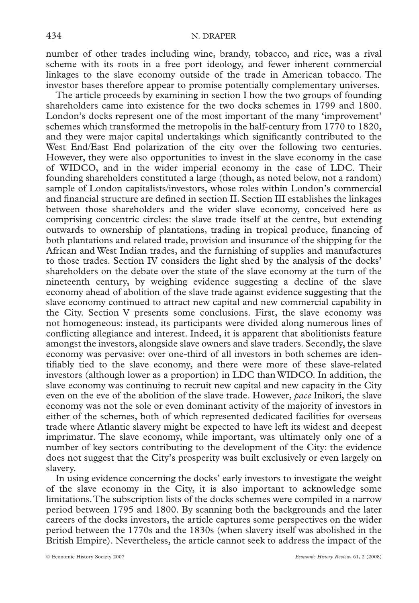number of other trades including wine, brandy, tobacco, and rice, was a rival scheme with its roots in a free port ideology, and fewer inherent commercial linkages to the slave economy outside of the trade in American tobacco. The investor bases therefore appear to promise potentially complementary universes.

The article proceeds by examining in section I how the two groups of founding shareholders came into existence for the two docks schemes in 1799 and 1800. London's docks represent one of the most important of the many 'improvement' schemes which transformed the metropolis in the half-century from 1770 to 1820, and they were major capital undertakings which significantly contributed to the West End/East End polarization of the city over the following two centuries. However, they were also opportunities to invest in the slave economy in the case of WIDCO, and in the wider imperial economy in the case of LDC. Their founding shareholders constituted a large (though, as noted below, not a random) sample of London capitalists/investors, whose roles within London's commercial and financial structure are defined in section II. Section III establishes the linkages between those shareholders and the wider slave economy, conceived here as comprising concentric circles: the slave trade itself at the centre, but extending outwards to ownership of plantations, trading in tropical produce, financing of both plantations and related trade, provision and insurance of the shipping for the African and West Indian trades, and the furnishing of supplies and manufactures to those trades. Section IV considers the light shed by the analysis of the docks' shareholders on the debate over the state of the slave economy at the turn of the nineteenth century, by weighing evidence suggesting a decline of the slave economy ahead of abolition of the slave trade against evidence suggesting that the slave economy continued to attract new capital and new commercial capability in the City. Section V presents some conclusions. First, the slave economy was not homogeneous: instead, its participants were divided along numerous lines of conflicting allegiance and interest. Indeed, it is apparent that abolitionists feature amongst the investors, alongside slave owners and slave traders. Secondly, the slave economy was pervasive: over one-third of all investors in both schemes are identifiably tied to the slave economy, and there were more of these slave-related investors (although lower as a proportion) in LDC thanWIDCO. In addition, the slave economy was continuing to recruit new capital and new capacity in the City even on the eve of the abolition of the slave trade. However, *pace* Inikori, the slave economy was not the sole or even dominant activity of the majority of investors in either of the schemes, both of which represented dedicated facilities for overseas trade where Atlantic slavery might be expected to have left its widest and deepest imprimatur. The slave economy, while important, was ultimately only one of a number of key sectors contributing to the development of the City: the evidence does not suggest that the City's prosperity was built exclusively or even largely on slavery.

In using evidence concerning the docks' early investors to investigate the weight of the slave economy in the City, it is also important to acknowledge some limitations.The subscription lists of the docks schemes were compiled in a narrow period between 1795 and 1800. By scanning both the backgrounds and the later careers of the docks investors, the article captures some perspectives on the wider period between the 1770s and the 1830s (when slavery itself was abolished in the British Empire). Nevertheless, the article cannot seek to address the impact of the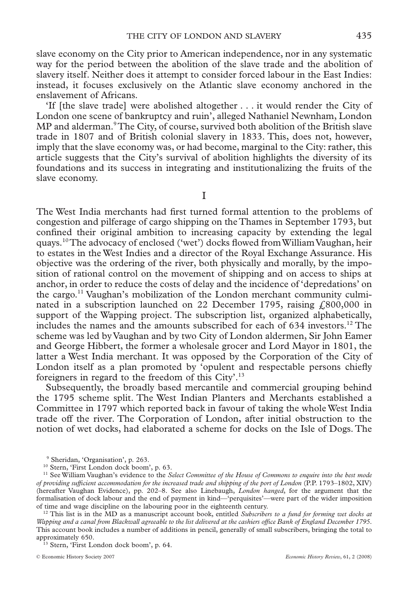slave economy on the City prior to American independence, nor in any systematic way for the period between the abolition of the slave trade and the abolition of slavery itself. Neither does it attempt to consider forced labour in the East Indies: instead, it focuses exclusively on the Atlantic slave economy anchored in the enslavement of Africans.

'If [the slave trade] were abolished altogether . . . it would render the City of London one scene of bankruptcy and ruin', alleged Nathaniel Newnham, London  $MP$  and alderman. <sup>9</sup>The City, of course, survived both abolition of the British slave trade in 1807 and of British colonial slavery in 1833. This, does not, however, imply that the slave economy was, or had become, marginal to the City: rather, this article suggests that the City's survival of abolition highlights the diversity of its foundations and its success in integrating and institutionalizing the fruits of the slave economy.

I

The West India merchants had first turned formal attention to the problems of congestion and pilferage of cargo shipping on the Thames in September 1793, but confined their original ambition to increasing capacity by extending the legal quays.10The advocacy of enclosed ('wet') docks flowed fromWilliamVaughan, heir to estates in the West Indies and a director of the Royal Exchange Assurance. His objective was the ordering of the river, both physically and morally, by the imposition of rational control on the movement of shipping and on access to ships at anchor, in order to reduce the costs of delay and the incidence of 'depredations' on the cargo.<sup>11</sup> Vaughan's mobilization of the London merchant community culminated in a subscription launched on 22 December 1795, raising  $\text{\emph{f}}800,000$  in support of the Wapping project. The subscription list, organized alphabetically, includes the names and the amounts subscribed for each of 634 investors.<sup>12</sup> The scheme was led by Vaughan and by two City of London aldermen, Sir John Eamer and George Hibbert, the former a wholesale grocer and Lord Mayor in 1801, the latter a West India merchant. It was opposed by the Corporation of the City of London itself as a plan promoted by 'opulent and respectable persons chiefly foreigners in regard to the freedom of this City'.13

Subsequently, the broadly based mercantile and commercial grouping behind the 1795 scheme split. The West Indian Planters and Merchants established a Committee in 1797 which reported back in favour of taking the wholeWest India trade off the river. The Corporation of London, after initial obstruction to the notion of wet docks, had elaborated a scheme for docks on the Isle of Dogs. The

<sup>12</sup> This list is in the MD as a manuscript account book, entitled *Subscribers to a fund for forming wet docks at Wapping and a canal from Blackwall agreeable to the list delivered at the cashiers office Bank of England December 1795*. This account book includes a number of additions in pencil, generally of small subscribers, bringing the total to approximately 650.

<sup>&</sup>lt;sup>9</sup> Sheridan, 'Organisation', p. 263.

<sup>10</sup> Stern, 'First London dock boom', p. 63.

<sup>11</sup> See William Vaughan's evidence to the *Select Committee of the House of Commons to enquire into the best mode of providing sufficient accommodation for the increased trade and shipping of the port of London* (P.P. 1793–1802, XIV) (hereafter Vaughan Evidence), pp. 202–8. See also Linebaugh, *London hanged*, for the argument that the formalisation of dock labour and the end of payment in kind—'perquisites'—were part of the wider imposition of time and wage discipline on the labouring poor in the eighteenth century.

<sup>&</sup>lt;sup>13</sup> Stern, 'First London dock boom', p. 64.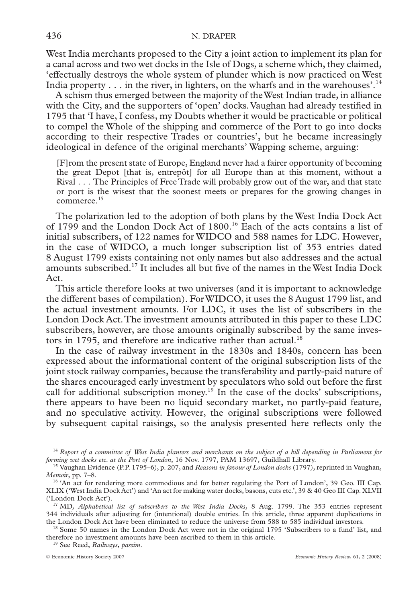West India merchants proposed to the City a joint action to implement its plan for a canal across and two wet docks in the Isle of Dogs, a scheme which, they claimed, 'effectually destroys the whole system of plunder which is now practiced on West India property . . . in the river, in lighters, on the wharfs and in the warehouses'.<sup>14</sup>

A schism thus emerged between the majority of theWest Indian trade, in alliance with the City, and the supporters of 'open' docks.Vaughan had already testified in 1795 that 'I have, I confess, my Doubts whether it would be practicable or political to compel the Whole of the shipping and commerce of the Port to go into docks according to their respective Trades or countries', but he became increasingly ideological in defence of the original merchants' Wapping scheme, arguing:

[F]rom the present state of Europe, England never had a fairer opportunity of becoming the great Depot [that is, entrepôt] for all Europe than at this moment, without a Rival . . . The Principles of Free Trade will probably grow out of the war, and that state or port is the wisest that the soonest meets or prepares for the growing changes in commerce.15

The polarization led to the adoption of both plans by the West India Dock Act of 1799 and the London Dock Act of 1800.16 Each of the acts contains a list of initial subscribers, of 122 names for WIDCO and 588 names for LDC. However, in the case of WIDCO, a much longer subscription list of 353 entries dated 8 August 1799 exists containing not only names but also addresses and the actual amounts subscribed.17 It includes all but five of the names in theWest India Dock Act.

This article therefore looks at two universes (and it is important to acknowledge the different bases of compilation). ForWIDCO, it uses the 8 August 1799 list, and the actual investment amounts. For LDC, it uses the list of subscribers in the London Dock Act.The investment amounts attributed in this paper to these LDC subscribers, however, are those amounts originally subscribed by the same investors in 1795, and therefore are indicative rather than actual.<sup>18</sup>

In the case of railway investment in the 1830s and 1840s, concern has been expressed about the informational content of the original subscription lists of the joint stock railway companies, because the transferability and partly-paid nature of the shares encouraged early investment by speculators who sold out before the first call for additional subscription money.<sup>19</sup> In the case of the docks' subscriptions, there appears to have been no liquid secondary market, no partly-paid feature, and no speculative activity. However, the original subscriptions were followed by subsequent capital raisings, so the analysis presented here reflects only the

<sup>14</sup> *Report of a committee of West India planters and merchants on the subject of a bill depending in Parliament for forming wet docks etc. at the Port of London*, 16 Nov. 1797, PAM 13697, Guildhall Library.

<sup>15</sup> Vaughan Evidence (P.P. 1795–6), p. 207, and *Reasons in favour of London docks* (1797), reprinted in Vaughan, *Memoir*, pp. 7–8.

<sup>&</sup>lt;sup>16</sup> 'An act for rendering more commodious and for better regulating the Port of London', 39 Geo. III Cap. XLIX ('West India Dock Act') and 'An act for making water docks, basons, cuts etc.', 39 & 40 Geo III Cap. XLVII ('London Dock Act').

<sup>&</sup>lt;sup>17</sup> MD, *Alphabetical list of subscribers to the West India Docks*, 8 Aug. 1799. The 353 entries represent 344 individuals after adjusting for (intentional) double entries. In this article, three apparent duplications in the London Dock Act have been eliminated to reduce the universe from 588 to 585 individual investors.

<sup>&</sup>lt;sup>18</sup> Some 50 names in the London Dock Act were not in the original 1795 'Subscribers to a fund' list, and therefore no investment amounts have been ascribed to them in this article.

<sup>19</sup> See Reed, *Railways*, *passim*.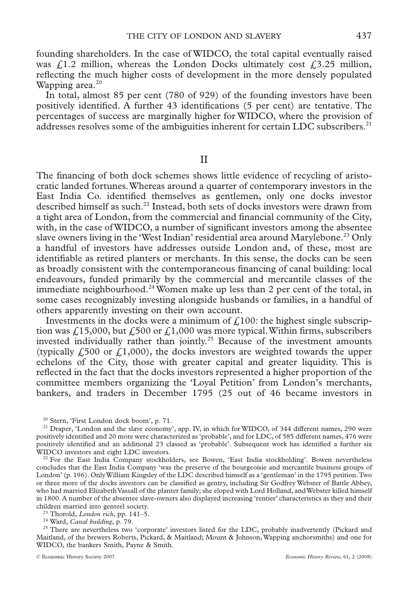founding shareholders. In the case of WIDCO, the total capital eventually raised was  $\zeta$ 1.2 million, whereas the London Docks ultimately cost  $\zeta$ 3.25 million, reflecting the much higher costs of development in the more densely populated Wapping area. $20$ 

In total, almost 85 per cent (780 of 929) of the founding investors have been positively identified. A further 43 identifications (5 per cent) are tentative. The percentages of success are marginally higher for WIDCO, where the provision of addresses resolves some of the ambiguities inherent for certain LDC subscribers.<sup>21</sup>

II

The financing of both dock schemes shows little evidence of recycling of aristocratic landed fortunes.Whereas around a quarter of contemporary investors in the East India Co. identified themselves as gentlemen, only one docks investor described himself as such.<sup>22</sup> Instead, both sets of docks investors were drawn from a tight area of London, from the commercial and financial community of the City, with, in the case ofWIDCO, a number of significant investors among the absentee slave owners living in the 'West Indian' residential area around Marylebone.<sup>23</sup> Only a handful of investors have addresses outside London and, of these, most are identifiable as retired planters or merchants. In this sense, the docks can be seen as broadly consistent with the contemporaneous financing of canal building: local endeavours, funded primarily by the commercial and mercantile classes of the immediate neighbourhood.<sup>24</sup> Women make up less than 2 per cent of the total, in some cases recognizably investing alongside husbands or families, in a handful of others apparently investing on their own account.

Investments in the docks were a minimum of  $f<sub>i</sub>100$ : the highest single subscription was  $\frac{15,000}{15,000}$ , but  $\frac{1500}{15,000}$  or  $\frac{11,000}{15,000}$  was more typical. Within firms, subscribers invested individually rather than jointly.<sup>25</sup> Because of the investment amounts (typically  $\ell$ , 500 or  $\ell$ , 1,000), the docks investors are weighted towards the upper echelons of the City, those with greater capital and greater liquidity. This is reflected in the fact that the docks investors represented a higher proportion of the committee members organizing the 'Loyal Petition' from London's merchants, bankers, and traders in December 1795 (25 out of 46 became investors in

<sup>22</sup> For the East India Company stockholders, see Bowen, 'East India stockholding'. Bowen nevertheless concludes that the East India Company 'was the preserve of the bourgeoisie and mercantile business groups of London' (p. 196). OnlyWilliam Kingsley of the LDC described himself as a 'gentleman' in the 1795 petition.Two or three more of the docks investors can be classified as gentry, including Sir Godfrey Webster of Battle Abbey, who had married Elizabeth Vassall of the planter family; she eloped with Lord Holland, and Webster killed himself in 1800. A number of the absentee slave-owners also displayed increasing 'rentier' characteristics as they and their children married into genteel society.

<sup>23</sup> Thorold, *London rich*, pp. 141–5.

<sup>24</sup> Ward, *Canal building*, p. 79.

<sup>25</sup> There are nevertheless two 'corporate' investors listed for the LDC, probably inadvertently (Pickard and Maitland, of the brewers Roberts, Pickard, & Maitland; Mount & Johnson,Wapping anchorsmiths) and one for WIDCO, the bankers Smith, Payne & Smith.

<sup>20</sup> Stern, 'First London dock boom', p. 71.

<sup>&</sup>lt;sup>21</sup> Draper, 'London and the slave economy', app. IV, in which for WIDCO, of 344 different names, 290 were positively identified and 20 more were characterized as 'probable', and for LDC, of 585 different names, 476 were positively identified and an additional 23 classed as 'probable'. Subsequent work has identified a further six WIDCO investors and eight LDC investors.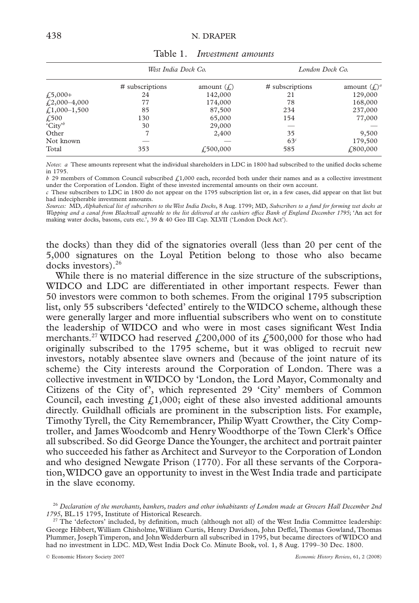|                                   | West India Dock Co. |              | London Dock Co. |                  |
|-----------------------------------|---------------------|--------------|-----------------|------------------|
|                                   | # subscriptions     | amount $(f)$ | # subscriptions | amount $(f_n)^a$ |
| $£,5,000+$                        | 24                  | 142,000      | 21              | 129,000          |
| £2,000-4,000                      | 77                  | 174,000      | 78              | 168,000          |
| £1,000-1,500                      | 85                  | 87,500       | 234             | 237,000          |
| $\textcolor{blue}{\cancel{.500}}$ | 130                 | 65,000       | 154             | 77,000           |
| 'City' <sup>b</sup>               | 30                  | 29,000       |                 |                  |
| Other                             | 7                   | 2,400        | 35              | 9,500            |
| Not known                         |                     |              | 63 <sup>c</sup> | 179,500          |
| Total                             | 353                 | f,500,000    | 585             | £800,000         |

Table 1. *Investment amounts*

*Notes*: *a* These amounts represent what the individual shareholders in LDC in 1800 had subscribed to the unified docks scheme in 1795.

*b* 29 members of Common Council subscribed  $f(1,000)$  each, recorded both under their names and as a collective investment under the Corporation of London. Eight of these invested incremental amounts on their own account.

*c* These subscribers to LDC in 1800 do not appear on the 1795 subscription list or, in a few cases, did appear on that list but had indecipherable investment amounts.

*Sources:* MD, *Alphabetical list of subscribers to theWest India Docks*, 8 Aug. 1799; MD, *Subscribers to a fund for forming wet docks at Wapping and a canal from Blackwall agreeable to the list delivered at the cashiers office Bank of England December 1795*; 'An act for making water docks, basons, cuts etc.', 39 & 40 Geo III Cap. XLVII ('London Dock Act').

the docks) than they did of the signatories overall (less than 20 per cent of the 5,000 signatures on the Loyal Petition belong to those who also became docks investors).26

While there is no material difference in the size structure of the subscriptions, WIDCO and LDC are differentiated in other important respects. Fewer than 50 investors were common to both schemes. From the original 1795 subscription list, only 55 subscribers 'defected' entirely to theWIDCO scheme, although these were generally larger and more influential subscribers who went on to constitute the leadership of WIDCO and who were in most cases significant West India merchants.<sup>27</sup> WIDCO had reserved £200,000 of its £500,000 for those who had originally subscribed to the 1795 scheme, but it was obliged to recruit new investors, notably absentee slave owners and (because of the joint nature of its scheme) the City interests around the Corporation of London. There was a collective investment in WIDCO by 'London, the Lord Mayor, Commonalty and Citizens of the City of', which represented 29 'City' members of Common Council, each investing  $f(1,000)$ ; eight of these also invested additional amounts directly. Guildhall officials are prominent in the subscription lists. For example, Timothy Tyrell, the City Remembrancer, Philip Wyatt Crowther, the City Comptroller, and James Woodcomb and Henry Woodthorpe of the Town Clerk's Office all subscribed. So did George Dance theYounger, the architect and portrait painter who succeeded his father as Architect and Surveyor to the Corporation of London and who designed Newgate Prison (1770). For all these servants of the Corporation,WIDCO gave an opportunity to invest in theWest India trade and participate in the slave economy.

<sup>26</sup> *Declaration of the merchants, bankers, traders and other inhabitants of London made at Grocers Hall December 2nd 1795*, BL.15 1795, Institute of Historical Research.

<sup>&</sup>lt;sup>27</sup> The 'defectors' included, by definition, much (although not all) of the West India Committee leadership: George Hibbert,William Chisholme,William Curtis, Henry Davidson, John Deffel, Thomas Gowland, Thomas Plummer, Joseph Timperon, and JohnWedderburn all subscribed in 1795, but became directors ofWIDCO and had no investment in LDC. MD, West India Dock Co. Minute Book, vol. 1, 8 Aug. 1799–30 Dec. 1800.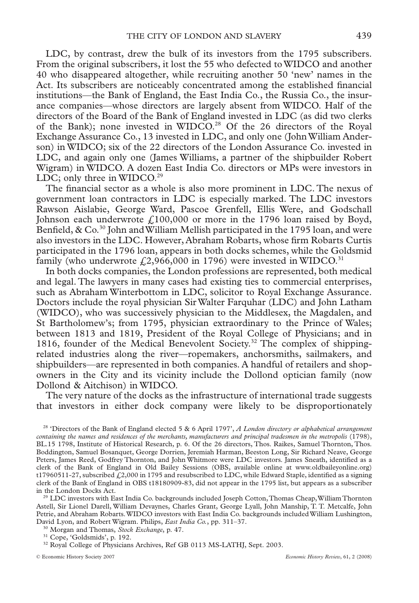LDC, by contrast, drew the bulk of its investors from the 1795 subscribers. From the original subscribers, it lost the 55 who defected toWIDCO and another 40 who disappeared altogether, while recruiting another 50 'new' names in the Act. Its subscribers are noticeably concentrated among the established financial institutions—the Bank of England, the East India Co., the Russia Co., the insurance companies—whose directors are largely absent from WIDCO. Half of the directors of the Board of the Bank of England invested in LDC (as did two clerks of the Bank); none invested in WIDCO.<sup>28</sup> Of the 26 directors of the Royal Exchange Assurance Co., 13 invested in LDC, and only one (JohnWilliam Anderson) in WIDCO; six of the 22 directors of the London Assurance Co. invested in LDC, and again only one (James Williams, a partner of the shipbuilder Robert Wigram) in WIDCO. A dozen East India Co. directors or MPs were investors in LDC; only three in WIDCO.<sup>29</sup>

The financial sector as a whole is also more prominent in LDC. The nexus of government loan contractors in LDC is especially marked. The LDC investors Rawson Aislabie, George Ward, Pascoe Grenfell, Ellis Were, and Godschall Johnson each underwrote  $\ell$ 100,000 or more in the 1796 loan raised by Boyd, Benfield,  $& Co.<sup>30</sup>$  John and William Mellish participated in the 1795 loan, and were also investors in the LDC. However, Abraham Robarts, whose firm Robarts Curtis participated in the 1796 loan, appears in both docks schemes, while the Goldsmid family (who underwrote  $f(2,966,000)$  in 1796) were invested in WIDCO.<sup>31</sup>

In both docks companies, the London professions are represented, both medical and legal. The lawyers in many cases had existing ties to commercial enterprises, such as Abraham Winterbottom in LDC, solicitor to Royal Exchange Assurance. Doctors include the royal physician SirWalter Farquhar (LDC) and John Latham (WIDCO), who was successively physician to the Middlesex, the Magdalen, and St Bartholomew's; from 1795, physician extraordinary to the Prince of Wales; between 1813 and 1819, President of the Royal College of Physicians; and in 1816, founder of the Medical Benevolent Society.<sup>32</sup> The complex of shippingrelated industries along the river—ropemakers, anchorsmiths, sailmakers, and shipbuilders—are represented in both companies. A handful of retailers and shopowners in the City and its vicinity include the Dollond optician family (now Dollond & Aitchison) in WIDCO.

The very nature of the docks as the infrastructure of international trade suggests that investors in either dock company were likely to be disproportionately

<sup>28</sup> 'Directors of the Bank of England elected 5 & 6 April 1797', *A London directory or alphabetical arrangement containing the names and residences of the merchants, manufacturers and principal tradesmen in the metropolis* (1798), BL.15 1798, Institute of Historical Research, p. 6. Of the 26 directors, Thos. Raikes, Samuel Thornton, Thos. Boddington, Samuel Bosanquet, George Dorrien, Jeremiah Harman, Beeston Long, Sir Richard Neave, George Peters, James Reed, Godfrey Thornton, and John Whitmore were LDC investors. James Sneath, identified as a clerk of the Bank of England in Old Bailey Sessions (OBS, available online at [www.oldbaileyonline.org\)](http://www.oldbaileyonline.org) t17960511-27, subscribed  $\text{\textsterling}2,000$  in 1795 and resubscribed to LDC, while Edward Staple, identified as a signing clerk of the Bank of England in OBS t18180909-83, did not appear in the 1795 list, but appears as a subscriber in the London Docks Act.

<sup>29</sup> LDC investors with East India Co. backgrounds included Joseph Cotton, Thomas Cheap, William Thornton Astell, Sir Lionel Darell, William Devaynes, Charles Grant, George Lyall, John Manship, T. T. Metcalfe, John Petrie, and Abraham Robarts. WIDCO investors with East India Co. backgrounds included William Lushington, David Lyon, and Robert Wigram. Philips, *East India Co.*, pp. 311–37.

<sup>30</sup> Morgan and Thomas, *Stock Exchange*, p. 47.

<sup>&</sup>lt;sup>31</sup> Cope, 'Goldsmids', p. 192.

<sup>&</sup>lt;sup>32</sup> Royal College of Physicians Archives, Ref GB 0113 MS-LATHJ, Sept. 2003.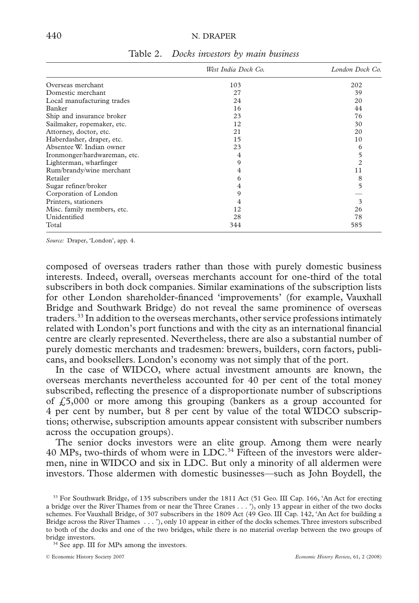### 440 N. DRAPER

|                              | West India Dock Co. | London Dock Co. |
|------------------------------|---------------------|-----------------|
| Overseas merchant            | 103                 | 202             |
| Domestic merchant            | 27                  | 39              |
| Local manufacturing trades   | 24                  | 20              |
| Banker                       | 16                  | 44              |
| Ship and insurance broker    | 23                  | 76              |
| Sailmaker, ropemaker, etc.   | 12                  | 30              |
| Attorney, doctor, etc.       | 21                  | 20              |
| Haberdasher, draper, etc.    | 15                  | 10              |
| Absentee W. Indian owner     | 23                  | 6               |
| Ironmonger/hardwareman, etc. | 4                   | 5               |
| Lighterman, wharfinger       | 9                   | 2               |
| Rum/brandy/wine merchant     | 4                   | 11              |
| Retailer                     | 6                   | 8               |
| Sugar refiner/broker         | 4                   | 5               |
| Corporation of London        | 9                   |                 |
| Printers, stationers         | 4                   | 3               |
| Misc. family members, etc.   | 12                  | 26              |
| Unidentified                 | 28                  | 78              |
| Total                        | 344                 | 585             |

Table 2. *Docks investors by main business*

*Source:* Draper, 'London', app. 4.

composed of overseas traders rather than those with purely domestic business interests. Indeed, overall, overseas merchants account for one-third of the total subscribers in both dock companies. Similar examinations of the subscription lists for other London shareholder-financed 'improvements' (for example, Vauxhall Bridge and Southwark Bridge) do not reveal the same prominence of overseas traders.33 In addition to the overseas merchants, other service professions intimately related with London's port functions and with the city as an international financial centre are clearly represented. Nevertheless, there are also a substantial number of purely domestic merchants and tradesmen: brewers, builders, corn factors, publicans, and booksellers. London's economy was not simply that of the port.

In the case of WIDCO, where actual investment amounts are known, the overseas merchants nevertheless accounted for 40 per cent of the total money subscribed, reflecting the presence of a disproportionate number of subscriptions of  $\dot{\epsilon}$ ,5,000 or more among this grouping (bankers as a group accounted for 4 per cent by number, but 8 per cent by value of the total WIDCO subscriptions; otherwise, subscription amounts appear consistent with subscriber numbers across the occupation groups).

The senior docks investors were an elite group. Among them were nearly 40 MPs, two-thirds of whom were in LDC.<sup>34</sup> Fifteen of the investors were aldermen, nine in WIDCO and six in LDC. But only a minority of all aldermen were investors. Those aldermen with domestic businesses—such as John Boydell, the

<sup>34</sup> See app. III for MPs among the investors.

<sup>&</sup>lt;sup>33</sup> For Southwark Bridge, of 135 subscribers under the 1811 Act (51 Geo. III Cap. 166, 'An Act for erecting a bridge over the River Thames from or near the Three Cranes . . . '), only 13 appear in either of the two docks schemes. For Vauxhall Bridge, of 307 subscribers in the 1809 Act (49 Geo. III Cap. 142, 'An Act for building a Bridge across the River Thames . . . '), only 10 appear in either of the docks schemes.Three investors subscribed to both of the docks and one of the two bridges, while there is no material overlap between the two groups of bridge investors.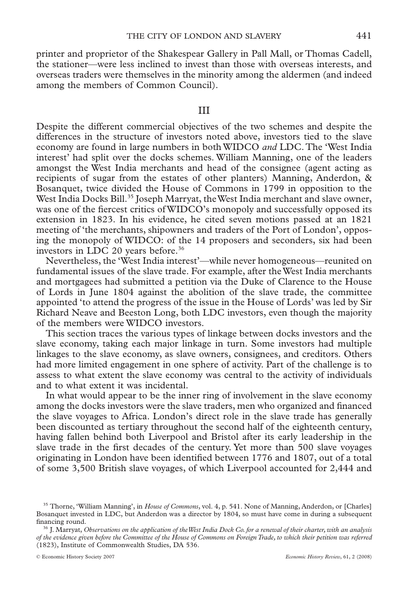printer and proprietor of the Shakespear Gallery in Pall Mall, or Thomas Cadell, the stationer—were less inclined to invest than those with overseas interests, and overseas traders were themselves in the minority among the aldermen (and indeed among the members of Common Council).

Despite the different commercial objectives of the two schemes and despite the differences in the structure of investors noted above, investors tied to the slave economy are found in large numbers in both WIDCO *and* LDC. The 'West India interest' had split over the docks schemes. William Manning, one of the leaders amongst the West India merchants and head of the consignee (agent acting as recipients of sugar from the estates of other planters) Manning, Anderdon, & Bosanquet, twice divided the House of Commons in 1799 in opposition to the West India Docks Bill.<sup>35</sup> Joseph Marryat, the West India merchant and slave owner, was one of the fiercest critics ofWIDCO's monopoly and successfully opposed its extension in 1823. In his evidence, he cited seven motions passed at an 1821 meeting of 'the merchants, shipowners and traders of the Port of London', opposing the monopoly of WIDCO: of the 14 proposers and seconders, six had been investors in LDC 20 years before.<sup>36</sup>

Nevertheless, the 'West India interest'—while never homogeneous—reunited on fundamental issues of the slave trade. For example, after theWest India merchants and mortgagees had submitted a petition via the Duke of Clarence to the House of Lords in June 1804 against the abolition of the slave trade, the committee appointed 'to attend the progress of the issue in the House of Lords' was led by Sir Richard Neave and Beeston Long, both LDC investors, even though the majority of the members were WIDCO investors.

This section traces the various types of linkage between docks investors and the slave economy, taking each major linkage in turn. Some investors had multiple linkages to the slave economy, as slave owners, consignees, and creditors. Others had more limited engagement in one sphere of activity. Part of the challenge is to assess to what extent the slave economy was central to the activity of individuals and to what extent it was incidental.

In what would appear to be the inner ring of involvement in the slave economy among the docks investors were the slave traders, men who organized and financed the slave voyages to Africa. London's direct role in the slave trade has generally been discounted as tertiary throughout the second half of the eighteenth century, having fallen behind both Liverpool and Bristol after its early leadership in the slave trade in the first decades of the century. Yet more than 500 slave voyages originating in London have been identified between 1776 and 1807, out of a total of some 3,500 British slave voyages, of which Liverpool accounted for 2,444 and

<sup>35</sup> Thorne, 'William Manning', in *House of Commons*, vol. 4, p. 541. None of Manning, Anderdon, or [Charles] Bosanquet invested in LDC, but Anderdon was a director by 1804, so must have come in during a subsequent financing round.

<sup>36</sup> J. Marryat, *Observations on the application of theWest India Dock Co. for a renewal of their charter, with an analysis of the evidence given before the Committee of the House of Commons on Foreign Trade, to which their petition was referred* (1823), Institute of Commonwealth Studies, DA 536.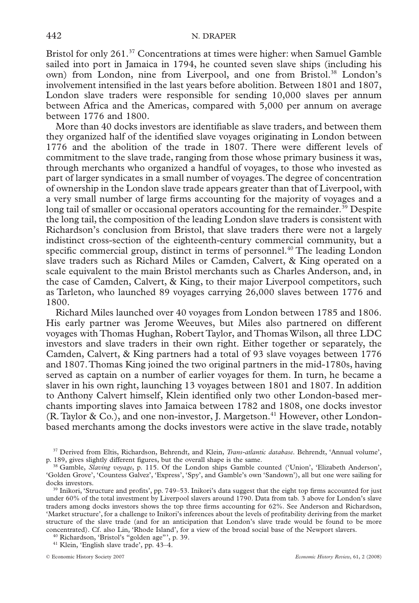Bristol for only 261.37 Concentrations at times were higher: when Samuel Gamble sailed into port in Jamaica in 1794, he counted seven slave ships (including his own) from London, nine from Liverpool, and one from Bristol.<sup>38</sup> London's involvement intensified in the last years before abolition. Between 1801 and 1807, London slave traders were responsible for sending 10,000 slaves per annum between Africa and the Americas, compared with 5,000 per annum on average between 1776 and 1800.

More than 40 docks investors are identifiable as slave traders, and between them they organized half of the identified slave voyages originating in London between 1776 and the abolition of the trade in 1807. There were different levels of commitment to the slave trade, ranging from those whose primary business it was, through merchants who organized a handful of voyages, to those who invested as part of larger syndicates in a small number of voyages.The degree of concentration of ownership in the London slave trade appears greater than that of Liverpool, with a very small number of large firms accounting for the majority of voyages and a long tail of smaller or occasional operators accounting for the remainder.<sup>39</sup> Despite the long tail, the composition of the leading London slave traders is consistent with Richardson's conclusion from Bristol, that slave traders there were not a largely indistinct cross-section of the eighteenth-century commercial community, but a specific commercial group, distinct in terms of personnel.<sup>40</sup> The leading London slave traders such as Richard Miles or Camden, Calvert, & King operated on a scale equivalent to the main Bristol merchants such as Charles Anderson, and, in the case of Camden, Calvert, & King, to their major Liverpool competitors, such as Tarleton, who launched 89 voyages carrying 26,000 slaves between 1776 and 1800.

Richard Miles launched over 40 voyages from London between 1785 and 1806. His early partner was Jerome Weeuves, but Miles also partnered on different voyages with Thomas Hughan, Robert Taylor, and ThomasWilson, all three LDC investors and slave traders in their own right. Either together or separately, the Camden, Calvert, & King partners had a total of 93 slave voyages between 1776 and 1807.Thomas King joined the two original partners in the mid-1780s, having served as captain on a number of earlier voyages for them. In turn, he became a slaver in his own right, launching 13 voyages between 1801 and 1807. In addition to Anthony Calvert himself, Klein identified only two other London-based merchants importing slaves into Jamaica between 1782 and 1808, one docks investor  $(R, Taylor & Co.)$ , and one non-investor, J. Margetson.<sup>41</sup> However, other Londonbased merchants among the docks investors were active in the slave trade, notably

<sup>37</sup> Derived from Eltis, Richardson, Behrendt, and Klein, *Trans-atlantic database*. Behrendt, 'Annual volume', p. 189, gives slightly different figures, but the overall shape is the same.

<sup>38</sup> Gamble, *Slaving voyage*, p. 115. Of the London ships Gamble counted ('Union', 'Elizabeth Anderson', 'Golden Grove', 'Countess Galvez', 'Express', 'Spy', and Gamble's own 'Sandown'), all but one were sailing for docks investors.

<sup>&</sup>lt;sup>39</sup> Inikori, 'Structure and profits', pp. 749–53. Inikori's data suggest that the eight top firms accounted for just under 60% of the total investment by Liverpool slavers around 1790. Data from tab. 3 above for London's slave traders among docks investors shows the top three firms accounting for 62%. See Anderson and Richardson, 'Market structure', for a challenge to Inikori's inferences about the levels of profitability deriving from the market structure of the slave trade (and for an anticipation that London's slave trade would be found to be more concentrated). Cf. also Lin, 'Rhode Island', for a view of the broad social base of the Newport slavers.

<sup>40</sup> Richardson, 'Bristol's "golden age"', p. 39.

<sup>41</sup> Klein, 'English slave trade', pp. 43–4.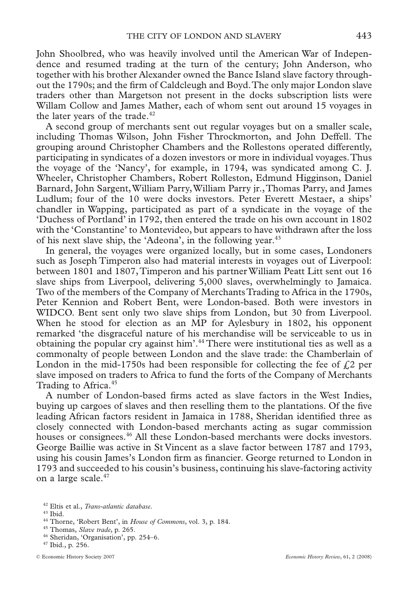John Shoolbred, who was heavily involved until the American War of Independence and resumed trading at the turn of the century; John Anderson, who together with his brother Alexander owned the Bance Island slave factory throughout the 1790s; and the firm of Caldcleugh and Boyd.The only major London slave traders other than Margetson not present in the docks subscription lists were Willam Collow and James Mather, each of whom sent out around 15 voyages in the later years of the trade.<sup>42</sup>

A second group of merchants sent out regular voyages but on a smaller scale, including Thomas Wilson, John Fisher Throckmorton, and John Deffell. The grouping around Christopher Chambers and the Rollestons operated differently, participating in syndicates of a dozen investors or more in individual voyages.Thus the voyage of the 'Nancy', for example, in 1794, was syndicated among C. J. Wheeler, Christopher Chambers, Robert Rolleston, Edmund Higginson, Daniel Barnard, John Sargent,William Parry,William Parry jr.,Thomas Parry, and James Ludlum; four of the 10 were docks investors. Peter Everett Mestaer, a ships' chandler in Wapping, participated as part of a syndicate in the voyage of the 'Duchess of Portland' in 1792, then entered the trade on his own account in 1802 with the 'Constantine' to Montevideo, but appears to have withdrawn after the loss of his next slave ship, the 'Adeona', in the following year.<sup>43</sup>

In general, the voyages were organized locally, but in some cases, Londoners such as Joseph Timperon also had material interests in voyages out of Liverpool: between 1801 and 1807, Timperon and his partnerWilliam Peatt Litt sent out 16 slave ships from Liverpool, delivering 5,000 slaves, overwhelmingly to Jamaica. Two of the members of the Company of MerchantsTrading to Africa in the 1790s, Peter Kennion and Robert Bent, were London-based. Both were investors in WIDCO. Bent sent only two slave ships from London, but 30 from Liverpool. When he stood for election as an MP for Aylesbury in 1802, his opponent remarked 'the disgraceful nature of his merchandise will be serviceable to us in obtaining the popular cry against him'.44 There were institutional ties as well as a commonalty of people between London and the slave trade: the Chamberlain of London in the mid-1750s had been responsible for collecting the fee of  $f$ . 2 per slave imposed on traders to Africa to fund the forts of the Company of Merchants Trading to Africa.<sup>45</sup>

A number of London-based firms acted as slave factors in the West Indies, buying up cargoes of slaves and then reselling them to the plantations. Of the five leading African factors resident in Jamaica in 1788, Sheridan identified three as closely connected with London-based merchants acting as sugar commission houses or consignees.<sup>46</sup> All these London-based merchants were docks investors. George Baillie was active in St Vincent as a slave factor between 1787 and 1793, using his cousin James's London firm as financier. George returned to London in 1793 and succeeded to his cousin's business, continuing his slave-factoring activity on a large scale.<sup>47</sup>

<sup>42</sup> Eltis et al., *Trans-atlantic database*.

<sup>43</sup> Ibid.

<sup>44</sup> Thorne, 'Robert Bent', in *House of Commons*, vol. 3, p. 184.

<sup>45</sup> Thomas, *Slave trade*, p. 265.

<sup>46</sup> Sheridan, 'Organisation', pp. 254–6.

<sup>47</sup> Ibid., p. 256.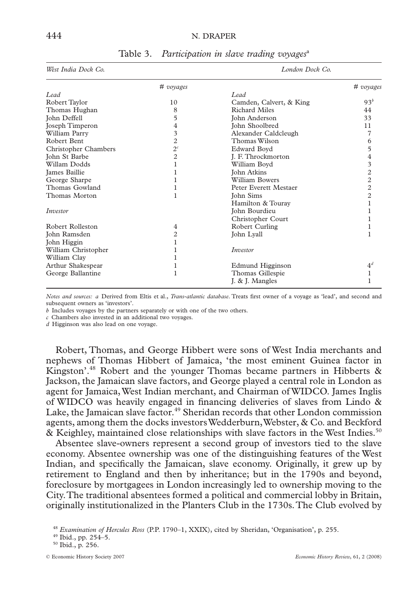## 444 N. DRAPER

| West India Dock Co.         |                | London Dock Co.         |                 |  |
|-----------------------------|----------------|-------------------------|-----------------|--|
|                             | $#$ voyages    |                         | # voyages       |  |
| Lead                        |                | Lead                    |                 |  |
| Robert Taylor               | 10             | Camden, Calvert, & King | 93 <sup>b</sup> |  |
| Thomas Hughan               | 8              | Richard Miles           | 44              |  |
| John Deffell                | 5              | <b>John Anderson</b>    | 33              |  |
| Joseph Timperon             | 4              | John Shoolbred          | 11              |  |
| William Parry               | 3              | Alexander Caldcleugh    |                 |  |
| Robert Bent                 | 2              | Thomas Wilson           | 6               |  |
| <b>Christopher Chambers</b> | 2 <sup>c</sup> | Edward Boyd             | 5               |  |
| John St Barbe               | 2              | J. F. Throckmorton      | 4               |  |
| Willam Dodds                | 1              | William Boyd            | 3               |  |
| <b>James Baillie</b>        |                | John Atkins             | 2               |  |
| George Sharpe               | 1              | William Bowers          | $\overline{c}$  |  |
| Thomas Gowland              |                | Peter Everett Mestaer   | $\overline{c}$  |  |
| Thomas Morton               | 1              | <b>John Sims</b>        | $\overline{c}$  |  |
|                             |                | Hamilton & Touray       |                 |  |
| Investor                    |                | John Bourdieu           |                 |  |
|                             |                | Christopher Court       |                 |  |
| Robert Rolleston            | 4              | Robert Curling          |                 |  |
| John Ramsden                | 2              | John Lyall              |                 |  |
| John Higgin                 |                |                         |                 |  |
| William Christopher         |                | Investor                |                 |  |
| William Clay                |                |                         |                 |  |
| Arthur Shakespear           |                | Edmund Higginson        | $4^d$           |  |
| George Ballantine           | 1              | Thomas Gillespie        |                 |  |
|                             |                | J. & J. Mangles         |                 |  |

Table 3. *Participation in slave trading voyages*<sup>a</sup>

*Notes and sources: a* Derived from Eltis et al., *Trans-atlantic database*. Treats first owner of a voyage as 'lead', and second and subsequent owners as 'investors'.

*b* Includes voyages by the partners separately or with one of the two others.

*c* Chambers also invested in an additional two voyages.

*d* Higginson was also lead on one voyage.

Robert, Thomas, and George Hibbert were sons of West India merchants and nephews of Thomas Hibbert of Jamaica, 'the most eminent Guinea factor in Kingston'.<sup>48</sup> Robert and the younger Thomas became partners in Hibberts  $\&$ Jackson, the Jamaican slave factors, and George played a central role in London as agent for Jamaica,West Indian merchant, and Chairman of WIDCO. James Inglis of WIDCO was heavily engaged in financing deliveries of slaves from Lindo & Lake, the Jamaican slave factor.<sup>49</sup> Sheridan records that other London commission agents, among them the docks investorsWedderburn,Webster, & Co. and Beckford & Keighley, maintained close relationships with slave factors in the West Indies.<sup>50</sup>

Absentee slave-owners represent a second group of investors tied to the slave economy. Absentee ownership was one of the distinguishing features of the West Indian, and specifically the Jamaican, slave economy. Originally, it grew up by retirement to England and then by inheritance; but in the 1790s and beyond, foreclosure by mortgagees in London increasingly led to ownership moving to the City.The traditional absentees formed a political and commercial lobby in Britain, originally institutionalized in the Planters Club in the 1730s.The Club evolved by

<sup>49</sup> Ibid., pp. 254–5.

<sup>50</sup> Ibid., p. 256.

<sup>48</sup> *Examination of Hercules Ross* (P.P. 1790–1, XXIX), cited by Sheridan, 'Organisation', p. 255.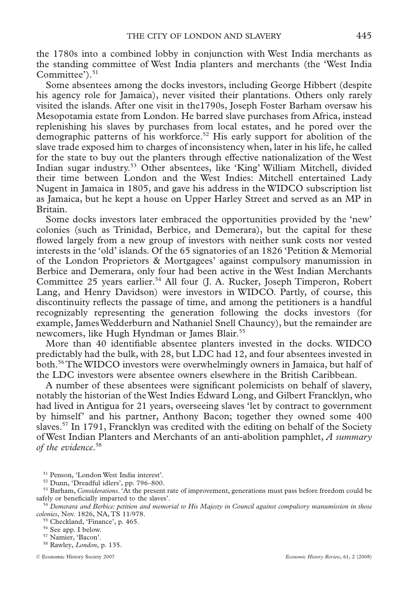the 1780s into a combined lobby in conjunction with West India merchants as the standing committee of West India planters and merchants (the 'West India Committee'). $51$ 

Some absentees among the docks investors, including George Hibbert (despite his agency role for Jamaica), never visited their plantations. Others only rarely visited the islands. After one visit in the1790s, Joseph Foster Barham oversaw his Mesopotamia estate from London. He barred slave purchases from Africa, instead replenishing his slaves by purchases from local estates, and he pored over the demographic patterns of his workforce.<sup>52</sup> His early support for abolition of the slave trade exposed him to charges of inconsistency when, later in his life, he called for the state to buy out the planters through effective nationalization of the West Indian sugar industry.53 Other absentees, like 'King' William Mitchell, divided their time between London and the West Indies: Mitchell entertained Lady Nugent in Jamaica in 1805, and gave his address in the WIDCO subscription list as Jamaica, but he kept a house on Upper Harley Street and served as an MP in Britain.

Some docks investors later embraced the opportunities provided by the 'new' colonies (such as Trinidad, Berbice, and Demerara), but the capital for these flowed largely from a new group of investors with neither sunk costs nor vested interests in the 'old' islands. Of the 65 signatories of an 1826 'Petition & Memorial of the London Proprietors & Mortgagees' against compulsory manumission in Berbice and Demerara, only four had been active in the West Indian Merchants Committee 25 years earlier.<sup>54</sup> All four  $(I, A, R$ ucker, Joseph Timperon, Robert Lang, and Henry Davidson) were investors in WIDCO. Partly, of course, this discontinuity reflects the passage of time, and among the petitioners is a handful recognizably representing the generation following the docks investors (for example, JamesWedderburn and Nathaniel Snell Chauncy), but the remainder are newcomers, like Hugh Hyndman or James Blair.<sup>55</sup>

More than 40 identifiable absentee planters invested in the docks. WIDCO predictably had the bulk, with 28, but LDC had 12, and four absentees invested in both.<sup>56</sup> The WIDCO investors were overwhelmingly owners in Jamaica, but half of the LDC investors were absentee owners elsewhere in the British Caribbean.

A number of these absentees were significant polemicists on behalf of slavery, notably the historian of theWest Indies Edward Long, and Gilbert Francklyn, who had lived in Antigua for 21 years, overseeing slaves 'let by contract to government by himself' and his partner, Anthony Bacon; together they owned some 400 slaves.<sup>57</sup> In 1791, Francklyn was credited with the editing on behalf of the Society of West Indian Planters and Merchants of an anti-abolition pamphlet, *A summary of the evidence*. 58

<sup>51</sup> Penson, 'London West India interest'.

<sup>52</sup> Dunn, 'Dreadful idlers', pp. 796–800.

<sup>55</sup> Checkland, 'Finance', p. 465.

<sup>56</sup> See app. I below.

<sup>57</sup> Namier, 'Bacon'.

<sup>53</sup> Barham, *Considerations*. 'At the present rate of improvement, generations must pass before freedom could be safely or beneficially imparted to the slaves'.

<sup>54</sup> *Demerara and Berbice: petition and memorial to His Majesty in Council against compulsory manumission in those colonies*, Nov. 1826, NA, TS 11/978.

<sup>58</sup> Rawley, *London*, p. 135.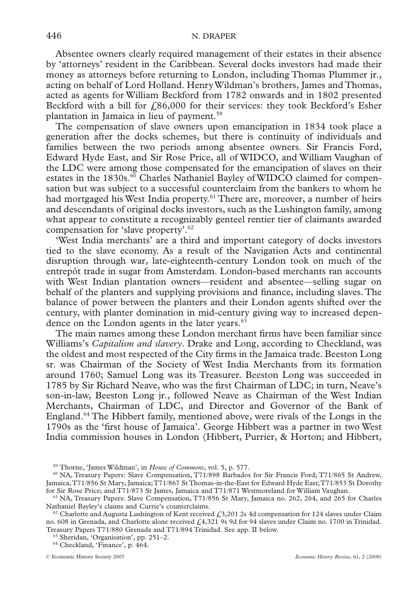Absentee owners clearly required management of their estates in their absence by 'attorneys' resident in the Caribbean. Several docks investors had made their money as attorneys before returning to London, including Thomas Plummer jr., acting on behalf of Lord Holland. HenryWildman's brothers, James and Thomas, acted as agents for William Beckford from 1782 onwards and in 1802 presented Beckford with a bill for  $\ell$ 86,000 for their services: they took Beckford's Esher plantation in Jamaica in lieu of payment.<sup>59</sup>

The compensation of slave owners upon emancipation in 1834 took place a generation after the docks schemes, but there is continuity of individuals and families between the two periods among absentee owners. Sir Francis Ford, Edward Hyde East, and Sir Rose Price, all of WIDCO, and William Vaughan of the LDC were among those compensated for the emancipation of slaves on their estates in the 1830s.<sup>60</sup> Charles Nathaniel Bayley of WIDCO claimed for compensation but was subject to a successful counterclaim from the bankers to whom he had mortgaged his West India property.<sup>61</sup> There are, moreover, a number of heirs and descendants of original docks investors, such as the Lushington family, among what appear to constitute a recognizably genteel rentier tier of claimants awarded compensation for 'slave property'.<sup>62</sup>

'West India merchants' are a third and important category of docks investors tied to the slave economy. As a result of the Navigation Acts and continental disruption through war, late-eighteenth-century London took on much of the entrepôt trade in sugar from Amsterdam. London-based merchants ran accounts with West Indian plantation owners—resident and absentee—selling sugar on behalf of the planters and supplying provisions and finance, including slaves. The balance of power between the planters and their London agents shifted over the century, with planter domination in mid-century giving way to increased dependence on the London agents in the later years.<sup>63</sup>

The main names among these London merchant firms have been familiar since Williams's *Capitalism and slavery*. Drake and Long, according to Checkland, was the oldest and most respected of the City firms in the Jamaica trade. Beeston Long sr. was Chairman of the Society of West India Merchants from its formation around 1760; Samuel Long was its Treasurer. Beeston Long was succeeded in 1785 by Sir Richard Neave, who was the first Chairman of LDC; in turn, Neave's son-in-law, Beeston Long jr., followed Neave as Chairman of the West Indian Merchants, Chairman of LDC, and Director and Governor of the Bank of England.<sup>64</sup> The Hibbert family, mentioned above, were rivals of the Longs in the 1790s as the 'first house of Jamaica'. George Hibbert was a partner in two West India commission houses in London (Hibbert, Purrier, & Horton; and Hibbert,

<sup>64</sup> Checkland, 'Finance', p. 464.

<sup>59</sup> Thorne, 'James Wildman', in *House of Commons*, vol. 5, p. 577.

<sup>60</sup> NA, Treasury Papers: Slave Compensation, T71/898 Barbados for Sir Francis Ford; T71/865 St Andrew, Jamaica,T71/856 St Mary, Jamaica;T71/867 St Thomas-in-the-East for Edward Hyde East;T71/853 St Dorothy for Sir Rose Price; and T71/873 St James, Jamaica and T71/871 Westmoreland for William Vaughan.

<sup>61</sup> NA, Treasury Papers: Slave Compensation, T71/856 St Mary, Jamaica no. 262, 264, and 265 for Charles Nathaniel Bayley's claims and Currie's counterclaims.

 $62$  Charlotte and Augusta Lushington of Kent received  $f<sub>1</sub>3,201$  2s 4d compensation for 124 slaves under Claim no. 608 in Grenada, and Charlotte alone received £4,321 9s 9d for 94 slaves under Claim no. 1700 in Trinidad. Treasury Papers T71/880 Grenada and T71/894 Trinidad. See app. II below.

<sup>63</sup> Sheridan, 'Organisation', pp. 251–2.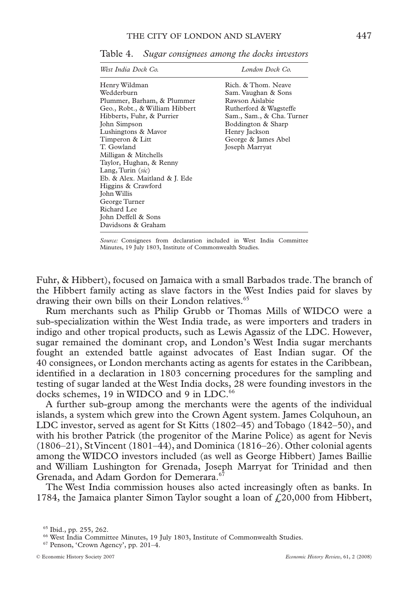| West India Dock Co.            | London Dock Co.           |
|--------------------------------|---------------------------|
| Henry Wildman                  | Rich. & Thom. Neave       |
| Wedderburn                     | Sam. Vaughan & Sons       |
| Plummer, Barham, & Plummer     | Rawson Aislabie           |
| Geo., Robt., & William Hibbert | Rutherford & Wagsteffe    |
| Hibberts, Fuhr, & Purrier      | Sam., Sam., & Cha. Turner |
| John Simpson                   | Boddington & Sharp        |
| Lushingtons & Mavor            | Henry Jackson             |
| Timperon & Litt                | George & James Abel       |
| T. Gowland                     | Joseph Marryat            |
| Milligan & Mitchells           |                           |
| Taylor, Hughan, & Renny        |                           |
| Lang, Turin (sic)              |                           |
| Eb. & Alex. Maitland & J. Ede  |                           |
| Higgins & Crawford             |                           |
| John Willis                    |                           |
| George Turner                  |                           |
| Richard Lee                    |                           |
| John Deffell & Sons            |                           |
| Davidsons & Graham             |                           |
|                                |                           |

Table 4. *Sugar consignees among the docks investors*

*Source:* Consignees from declaration included in West India Committee Minutes, 19 July 1803, Institute of Commonwealth Studies.

Fuhr, & Hibbert), focused on Jamaica with a small Barbados trade.The branch of the Hibbert family acting as slave factors in the West Indies paid for slaves by drawing their own bills on their London relatives.<sup>65</sup>

Rum merchants such as Philip Grubb or Thomas Mills of WIDCO were a sub-specialization within the West India trade, as were importers and traders in indigo and other tropical products, such as Lewis Agassiz of the LDC. However, sugar remained the dominant crop, and London's West India sugar merchants fought an extended battle against advocates of East Indian sugar. Of the 40 consignees, or London merchants acting as agents for estates in the Caribbean, identified in a declaration in 1803 concerning procedures for the sampling and testing of sugar landed at the West India docks, 28 were founding investors in the docks schemes, 19 in WIDCO and 9 in LDC.<sup>66</sup>

A further sub-group among the merchants were the agents of the individual islands, a system which grew into the Crown Agent system. James Colquhoun, an LDC investor, served as agent for St Kitts (1802–45) and Tobago (1842–50), and with his brother Patrick (the progenitor of the Marine Police) as agent for Nevis  $(1806-21)$ , St Vincent  $(1801-44)$ , and Dominica  $(1816-26)$ . Other colonial agents among the WIDCO investors included (as well as George Hibbert) James Baillie and William Lushington for Grenada, Joseph Marryat for Trinidad and then Grenada, and Adam Gordon for Demerara.<sup>67</sup>

The West India commission houses also acted increasingly often as banks. In 1784, the Jamaica planter Simon Taylor sought a loan of  $f<sub>1</sub>20,000$  from Hibbert,

<sup>65</sup> Ibid., pp. 255, 262.

<sup>&</sup>lt;sup>66</sup> West India Committee Minutes, 19 July 1803, Institute of Commonwealth Studies.

<sup>67</sup> Penson, 'Crown Agency', pp. 201–4.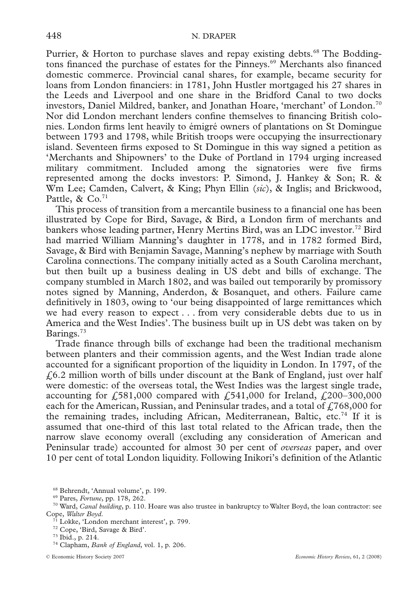Purrier, & Horton to purchase slaves and repay existing debts.<sup>68</sup> The Boddingtons financed the purchase of estates for the Pinneys.<sup>69</sup> Merchants also financed domestic commerce. Provincial canal shares, for example, became security for loans from London financiers: in 1781, John Hustler mortgaged his 27 shares in the Leeds and Liverpool and one share in the Bridford Canal to two docks investors, Daniel Mildred, banker, and Jonathan Hoare, 'merchant' of London.<sup>70</sup> Nor did London merchant lenders confine themselves to financing British colonies. London firms lent heavily to émigré owners of plantations on St Domingue between 1793 and 1798, while British troops were occupying the insurrectionary island. Seventeen firms exposed to St Domingue in this way signed a petition as 'Merchants and Shipowners' to the Duke of Portland in 1794 urging increased military commitment. Included among the signatories were five firms represented among the docks investors: P. Simond, J. Hankey & Son; R. & Wm Lee; Camden, Calvert, & King; Phyn Ellin (*sic*), & Inglis; and Brickwood, Pattle, & Co.<sup>71</sup>

This process of transition from a mercantile business to a financial one has been illustrated by Cope for Bird, Savage, & Bird, a London firm of merchants and bankers whose leading partner, Henry Mertins Bird, was an LDC investor.<sup>72</sup> Bird had married William Manning's daughter in 1778, and in 1782 formed Bird, Savage, & Bird with Benjamin Savage, Manning's nephew by marriage with South Carolina connections. The company initially acted as a South Carolina merchant, but then built up a business dealing in US debt and bills of exchange. The company stumbled in March 1802, and was bailed out temporarily by promissory notes signed by Manning, Anderdon, & Bosanquet, and others. Failure came definitively in 1803, owing to 'our being disappointed of large remittances which we had every reason to expect... from very considerable debts due to us in America and the West Indies'. The business built up in US debt was taken on by Barings.<sup>73</sup>

Trade finance through bills of exchange had been the traditional mechanism between planters and their commission agents, and the West Indian trade alone accounted for a significant proportion of the liquidity in London. In 1797, of the  $\frac{1}{6.2}$  million worth of bills under discount at the Bank of England, just over half were domestic: of the overseas total, the West Indies was the largest single trade, accounting for  $\frac{2581,000}{200}$  compared with  $\frac{2541,000}{200}$  for Ireland,  $\frac{200-300,000}{200}$ each for the American, Russian, and Peninsular trades, and a total of  $\text{\textsterling}768,000$  for the remaining trades, including African, Mediterranean, Baltic, etc.<sup>74</sup> If it is assumed that one-third of this last total related to the African trade, then the narrow slave economy overall (excluding any consideration of American and Peninsular trade) accounted for almost 30 per cent of *overseas* paper, and over 10 per cent of total London liquidity. Following Inikori's definition of the Atlantic

<sup>68</sup> Behrendt, 'Annual volume', p. 199.

<sup>69</sup> Pares, *Fortune*, pp. 178, 262.

<sup>70</sup> Ward, *Canal building*, p. 110. Hoare was also trustee in bankruptcy to Walter Boyd, the loan contractor: see Cope, *Walter Boyd*.

<sup>71</sup> Lokke, 'London merchant interest', p. 799.

<sup>72</sup> Cope, 'Bird, Savage & Bird'.

<sup>73</sup> Ibid., p. 214.

<sup>74</sup> Clapham, *Bank of England*, vol. 1, p. 206.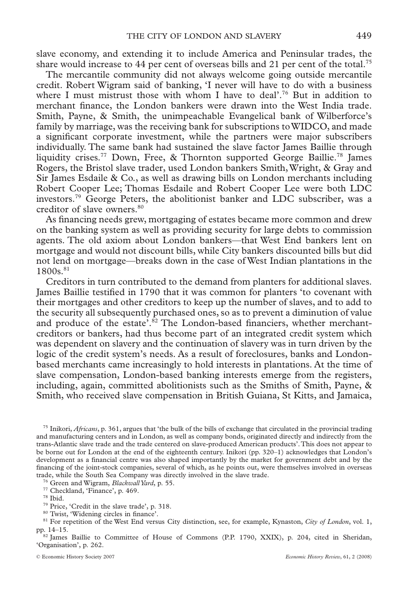slave economy, and extending it to include America and Peninsular trades, the share would increase to 44 per cent of overseas bills and 21 per cent of the total.<sup>75</sup>

The mercantile community did not always welcome going outside mercantile credit. Robert Wigram said of banking, 'I never will have to do with a business where I must mistrust those with whom I have to deal'.<sup>76</sup> But in addition to merchant finance, the London bankers were drawn into the West India trade. Smith, Payne, & Smith, the unimpeachable Evangelical bank of Wilberforce's family by marriage, was the receiving bank for subscriptions toWIDCO, and made a significant corporate investment, while the partners were major subscribers individually. The same bank had sustained the slave factor James Baillie through liquidity crises.<sup>77</sup> Down, Free, & Thornton supported George Baillie.<sup>78</sup> James Rogers, the Bristol slave trader, used London bankers Smith,Wright, & Gray and Sir James Esdaile & Co., as well as drawing bills on London merchants including Robert Cooper Lee; Thomas Esdaile and Robert Cooper Lee were both LDC investors.79 George Peters, the abolitionist banker and LDC subscriber, was a creditor of slave owners.<sup>80</sup>

As financing needs grew, mortgaging of estates became more common and drew on the banking system as well as providing security for large debts to commission agents. The old axiom about London bankers—that West End bankers lent on mortgage and would not discount bills, while City bankers discounted bills but did not lend on mortgage—breaks down in the case of West Indian plantations in the 1800s<sup>81</sup>

Creditors in turn contributed to the demand from planters for additional slaves. James Baillie testified in 1790 that it was common for planters 'to covenant with their mortgages and other creditors to keep up the number of slaves, and to add to the security all subsequently purchased ones, so as to prevent a diminution of value and produce of the estate'. $82$  The London-based financiers, whether merchantcreditors or bankers, had thus become part of an integrated credit system which was dependent on slavery and the continuation of slavery was in turn driven by the logic of the credit system's needs. As a result of foreclosures, banks and Londonbased merchants came increasingly to hold interests in plantations. At the time of slave compensation, London-based banking interests emerge from the registers, including, again, committed abolitionists such as the Smiths of Smith, Payne, & Smith, who received slave compensation in British Guiana, St Kitts, and Jamaica,

<sup>75</sup> Inikori, *Africans*, p. 361, argues that 'the bulk of the bills of exchange that circulated in the provincial trading and manufacturing centers and in London, as well as company bonds, originated directly and indirectly from the trans-Atlantic slave trade and the trade centered on slave-produced American products'.This does not appear to be borne out for London at the end of the eighteenth century. Inikori (pp. 320–1) acknowledges that London's development as a financial centre was also shaped importantly by the market for government debt and by the financing of the joint-stock companies, several of which, as he points out, were themselves involved in overseas trade, while the South Sea Company was directly involved in the slave trade.

<sup>76</sup> Green and Wigram, *BlackwallYard*, p. 55.

<sup>78</sup> Ibid.

<sup>79</sup> Price, 'Credit in the slave trade', p. 318.

<sup>77</sup> Checkland, 'Finance', p. 469.

<sup>80</sup> Twist, 'Widening circles in finance'.

<sup>81</sup> For repetition of the West End versus City distinction, see, for example, Kynaston, *City of London*, vol. 1, pp. 14–15.

<sup>&</sup>lt;sup>82</sup> Iames Baillie to Committee of House of Commons (P.P. 1790, XXIX), p. 204, cited in Sheridan, 'Organisation', p. 262.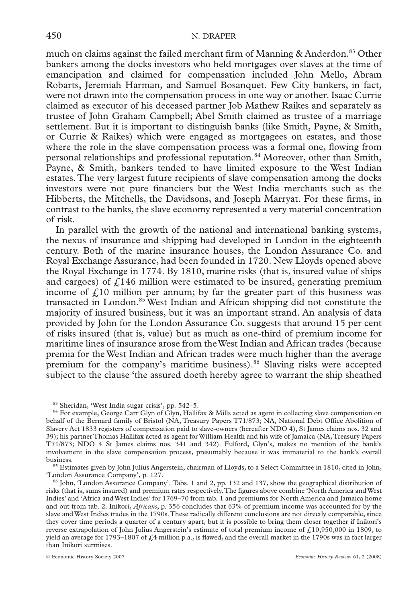much on claims against the failed merchant firm of Manning & Anderdon.<sup>83</sup> Other bankers among the docks investors who held mortgages over slaves at the time of emancipation and claimed for compensation included John Mello, Abram Robarts, Jeremiah Harman, and Samuel Bosanquet. Few City bankers, in fact, were not drawn into the compensation process in one way or another. Isaac Currie claimed as executor of his deceased partner Job Mathew Raikes and separately as trustee of John Graham Campbell; Abel Smith claimed as trustee of a marriage settlement. But it is important to distinguish banks (like Smith, Payne, & Smith, or Currie & Raikes) which were engaged as mortgagees on estates, and those where the role in the slave compensation process was a formal one, flowing from personal relationships and professional reputation.84 Moreover, other than Smith, Payne, & Smith, bankers tended to have limited exposure to the West Indian estates. The very largest future recipients of slave compensation among the docks investors were not pure financiers but the West India merchants such as the Hibberts, the Mitchells, the Davidsons, and Joseph Marryat. For these firms, in contrast to the banks, the slave economy represented a very material concentration of risk.

In parallel with the growth of the national and international banking systems, the nexus of insurance and shipping had developed in London in the eighteenth century. Both of the marine insurance houses, the London Assurance Co. and Royal Exchange Assurance, had been founded in 1720. New Lloyds opened above the Royal Exchange in 1774. By 1810, marine risks (that is, insured value of ships and cargoes) of  $\ell$ 146 million were estimated to be insured, generating premium income of  $f<sub>10</sub>$  million per annum; by far the greater part of this business was transacted in London.85 West Indian and African shipping did not constitute the majority of insured business, but it was an important strand. An analysis of data provided by John for the London Assurance Co. suggests that around 15 per cent of risks insured (that is, value) but as much as one-third of premium income for maritime lines of insurance arose from theWest Indian and African trades (because premia for the West Indian and African trades were much higher than the average premium for the company's maritime business).<sup>86</sup> Slaving risks were accepted subject to the clause 'the assured doeth hereby agree to warrant the ship sheathed

<sup>85</sup> Estimates given by John Julius Angerstein, chairman of Lloyds, to a Select Committee in 1810, cited in John, 'London Assurance Company', p. 127.

<sup>83</sup> Sheridan, 'West India sugar crisis', pp. 542–5.

<sup>84</sup> For example, George Carr Glyn of Glyn, Hallifax & Mills acted as agent in collecting slave compensation on behalf of the Bernard family of Bristol (NA, Treasury Papers T71/873; NA, National Debt Office Abolition of Slavery Act 1833 registers of compensation paid to slave-owners (hereafter NDO 4), St James claims nos. 32 and 39); his partner Thomas Hallifax acted as agent forWilliam Health and his wife of Jamaica (NA,Treasury Papers T71/873; NDO 4 St James claims nos. 341 and 342). Fulford, Glyn's, makes no mention of the bank's involvement in the slave compensation process, presumably because it was immaterial to the bank's overall business.

<sup>86</sup> John, 'London Assurance Company'. Tabs. 1 and 2, pp. 132 and 137, show the geographical distribution of risks (that is, sums insured) and premium rates respectively.The figures above combine 'North America andWest Indies' and 'Africa and West Indies' for 1769–70 from tab. 1 and premiums for North America and Jamaica home and out from tab. 2. Inikori, *Africans*, p. 356 concludes that 63% of premium income was accounted for by the slave andWest Indies trades in the 1790s.These radically different conclusions are not directly comparable, since they cover time periods a quarter of a century apart, but it is possible to bring them closer together if Inikori's reverse extrapolation of John Julius Angerstein's estimate of total premium income of £10,950,000 in 1809, to yield an average for 1793–1807 of  $f_4$  million p.a., is flawed, and the overall market in the 1790s was in fact larger than Inikori surmises.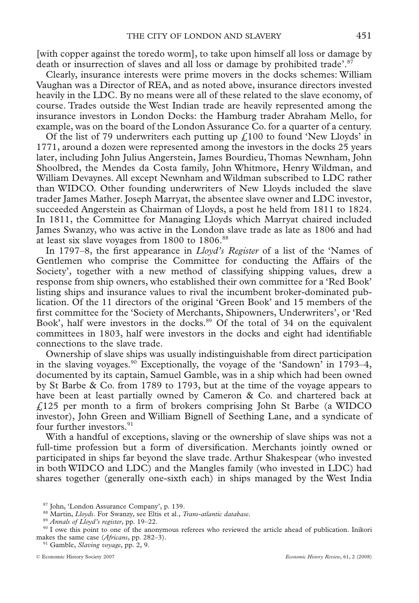[with copper against the toredo worm], to take upon himself all loss or damage by death or insurrection of slaves and all loss or damage by prohibited trade'.<sup>87</sup>

Clearly, insurance interests were prime movers in the docks schemes: William Vaughan was a Director of REA, and as noted above, insurance directors invested heavily in the LDC. By no means were all of these related to the slave economy, of course. Trades outside the West Indian trade are heavily represented among the insurance investors in London Docks: the Hamburg trader Abraham Mello, for example, was on the board of the London Assurance Co. for a quarter of a century.

Of the list of 79 underwriters each putting up  $\ell$ , 100 to found 'New Lloyds' in 1771, around a dozen were represented among the investors in the docks 25 years later, including John Julius Angerstein, James Bourdieu, Thomas Newnham, John Shoolbred, the Mendes da Costa family, John Whitmore, Henry Wildman, and William Devaynes. All except Newnham and Wildman subscribed to LDC rather than WIDCO. Other founding underwriters of New Lloyds included the slave trader James Mather. Joseph Marryat, the absentee slave owner and LDC investor, succeeded Angerstein as Chairman of Lloyds, a post he held from 1811 to 1824. In 1811, the Committee for Managing Lloyds which Marryat chaired included James Swanzy, who was active in the London slave trade as late as 1806 and had at least six slave voyages from 1800 to 1806.<sup>88</sup>

In 1797–8, the first appearance in *Lloyd's Register* of a list of the 'Names of Gentlemen who comprise the Committee for conducting the Affairs of the Society', together with a new method of classifying shipping values, drew a response from ship owners, who established their own committee for a 'Red Book' listing ships and insurance values to rival the incumbent broker-dominated publication. Of the 11 directors of the original 'Green Book' and 15 members of the first committee for the 'Society of Merchants, Shipowners, Underwriters', or 'Red Book', half were investors in the docks.<sup>89</sup> Of the total of 34 on the equivalent committees in 1803, half were investors in the docks and eight had identifiable connections to the slave trade.

Ownership of slave ships was usually indistinguishable from direct participation in the slaving voyages.<sup>90</sup> Exceptionally, the voyage of the 'Sandown' in 1793–4, documented by its captain, Samuel Gamble, was in a ship which had been owned by St Barbe & Co. from 1789 to 1793, but at the time of the voyage appears to have been at least partially owned by Cameron & Co. and chartered back at  $\angle L125$  per month to a firm of brokers comprising John St Barbe (a WIDCO investor), John Green and William Bignell of Seething Lane, and a syndicate of four further investors.<sup>91</sup>

With a handful of exceptions, slaving or the ownership of slave ships was not a full-time profession but a form of diversification. Merchants jointly owned or participated in ships far beyond the slave trade. Arthur Shakespear (who invested in both WIDCO and LDC) and the Mangles family (who invested in LDC) had shares together (generally one-sixth each) in ships managed by the West India

<sup>87</sup> John, 'London Assurance Company', p. 139.

<sup>88</sup> Martin, *Lloyds*. For Swanzy, see Eltis et al., *Trans-atlantic database*.

<sup>89</sup> *Annals of Lloyd's register*, pp. 19–22.

<sup>&</sup>lt;sup>90</sup> I owe this point to one of the anonymous referees who reviewed the article ahead of publication. Inikori makes the same case (*Africans*, pp. 282–3).

<sup>91</sup> Gamble, *Slaving voyage*, pp. 2, 9.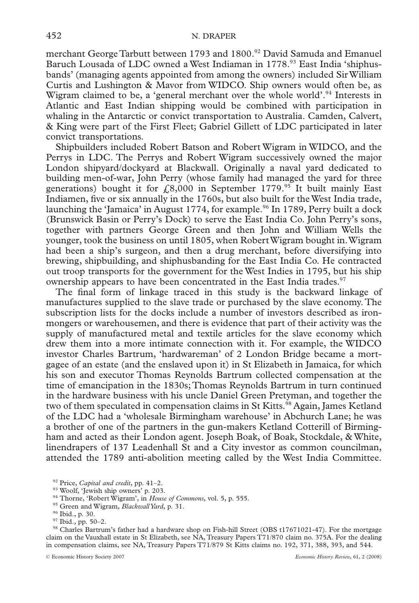merchant George Tarbutt between 1793 and 1800.<sup>92</sup> David Samuda and Emanuel Baruch Lousada of LDC owned a West Indiaman in 1778.<sup>93</sup> East India 'shiphusbands' (managing agents appointed from among the owners) included SirWilliam Curtis and Lushington & Mavor from WIDCO. Ship owners would often be, as Wigram claimed to be, a 'general merchant over the whole world'.<sup>94</sup> Interests in Atlantic and East Indian shipping would be combined with participation in whaling in the Antarctic or convict transportation to Australia. Camden, Calvert, & King were part of the First Fleet; Gabriel Gillett of LDC participated in later convict transportations.

Shipbuilders included Robert Batson and Robert Wigram in WIDCO, and the Perrys in LDC. The Perrys and Robert Wigram successively owned the major London shipyard/dockyard at Blackwall. Originally a naval yard dedicated to building men-of-war, John Perry (whose family had managed the yard for three generations) bought it for  $\text{\emph{f}}8,000$  in September 1779.95 It built mainly East Indiamen, five or six annually in the 1760s, but also built for theWest India trade, launching the 'Jamaica' in August 1774, for example.<sup>96</sup> In 1789, Perry built a dock (Brunswick Basin or Perry's Dock) to serve the East India Co. John Perry's sons, together with partners George Green and then John and William Wells the younger, took the business on until 1805, when RobertWigram bought in.Wigram had been a ship's surgeon, and then a drug merchant, before diversifying into brewing, shipbuilding, and shiphusbanding for the East India Co. He contracted out troop transports for the government for the West Indies in 1795, but his ship ownership appears to have been concentrated in the East India trades.<sup>97</sup>

The final form of linkage traced in this study is the backward linkage of manufactures supplied to the slave trade or purchased by the slave economy. The subscription lists for the docks include a number of investors described as ironmongers or warehousemen, and there is evidence that part of their activity was the supply of manufactured metal and textile articles for the slave economy which drew them into a more intimate connection with it. For example, the WIDCO investor Charles Bartrum, 'hardwareman' of 2 London Bridge became a mortgagee of an estate (and the enslaved upon it) in St Elizabeth in Jamaica, for which his son and executor Thomas Reynolds Bartrum collected compensation at the time of emancipation in the 1830s; Thomas Reynolds Bartrum in turn continued in the hardware business with his uncle Daniel Green Pretyman, and together the two of them speculated in compensation claims in St Kitts.<sup>98</sup> Again, James Ketland of the LDC had a 'wholesale Birmingham warehouse' in Abchurch Lane; he was a brother of one of the partners in the gun-makers Ketland Cotterill of Birmingham and acted as their London agent. Joseph Boak, of Boak, Stockdale, & White, linendrapers of 137 Leadenhall St and a City investor as common councilman, attended the 1789 anti-abolition meeting called by the West India Committee.

<sup>92</sup> Price, *Capital and credit*, pp. 41–2.

<sup>93</sup> Woolf, 'Jewish ship owners' p. 203.

<sup>94</sup> Thorne, 'Robert Wigram', in *House of Commons*, vol. 5, p. 555.

<sup>&</sup>lt;sup>95</sup> Green and Wigram, *Blackwall Yard*, p. 31.

<sup>96</sup> Ibid., p. 30.

<sup>97</sup> Ibid., pp. 50–2.

<sup>98</sup> Charles Bartrum's father had a hardware shop on Fish-hill Street (OBS t17671021-47). For the mortgage claim on the Vauxhall estate in St Elizabeth, see NA, Treasury Papers T71/870 claim no. 375A. For the dealing in compensation claims, see NA, Treasury Papers T71/879 St Kitts claims no. 192, 371, 388, 393, and 544.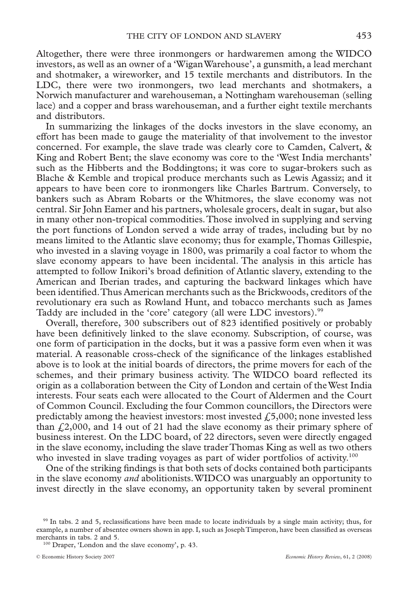Altogether, there were three ironmongers or hardwaremen among the WIDCO investors, as well as an owner of a 'WiganWarehouse', a gunsmith, a lead merchant and shotmaker, a wireworker, and 15 textile merchants and distributors. In the LDC, there were two ironmongers, two lead merchants and shotmakers, a Norwich manufacturer and warehouseman, a Nottingham warehouseman (selling lace) and a copper and brass warehouseman, and a further eight textile merchants and distributors.

In summarizing the linkages of the docks investors in the slave economy, an effort has been made to gauge the materiality of that involvement to the investor concerned. For example, the slave trade was clearly core to Camden, Calvert, & King and Robert Bent; the slave economy was core to the 'West India merchants' such as the Hibberts and the Boddingtons; it was core to sugar-brokers such as Blache & Kemble and tropical produce merchants such as Lewis Agassiz; and it appears to have been core to ironmongers like Charles Bartrum. Conversely, to bankers such as Abram Robarts or the Whitmores, the slave economy was not central. Sir John Eamer and his partners, wholesale grocers, dealt in sugar, but also in many other non-tropical commodities.Those involved in supplying and serving the port functions of London served a wide array of trades, including but by no means limited to the Atlantic slave economy; thus for example,Thomas Gillespie, who invested in a slaving voyage in 1800, was primarily a coal factor to whom the slave economy appears to have been incidental. The analysis in this article has attempted to follow Inikori's broad definition of Atlantic slavery, extending to the American and Iberian trades, and capturing the backward linkages which have been identified.Thus American merchants such as the Brickwoods, creditors of the revolutionary era such as Rowland Hunt, and tobacco merchants such as James Taddy are included in the 'core' category (all were LDC investors).<sup>99</sup>

Overall, therefore, 300 subscribers out of 823 identified positively or probably have been definitively linked to the slave economy. Subscription, of course, was one form of participation in the docks, but it was a passive form even when it was material. A reasonable cross-check of the significance of the linkages established above is to look at the initial boards of directors, the prime movers for each of the schemes, and their primary business activity. The WIDCO board reflected its origin as a collaboration between the City of London and certain of theWest India interests. Four seats each were allocated to the Court of Aldermen and the Court of Common Council. Excluding the four Common councillors, the Directors were predictably among the heaviest investors: most invested  $\mathcal{L}5,000$ ; none invested less than  $\ell$ , 2,000, and 14 out of 21 had the slave economy as their primary sphere of business interest. On the LDC board, of 22 directors, seven were directly engaged in the slave economy, including the slave trader Thomas King as well as two others who invested in slave trading voyages as part of wider portfolios of activity.<sup>100</sup>

One of the striking findings is that both sets of docks contained both participants in the slave economy *and* abolitionists.WIDCO was unarguably an opportunity to invest directly in the slave economy, an opportunity taken by several prominent

 $99$  In tabs. 2 and 5, reclassifications have been made to locate individuals by a single main activity; thus, for example, a number of absentee owners shown in app. I, such as Joseph Timperon, have been classified as overseas merchants in tabs. 2 and 5.

<sup>100</sup> Draper, 'London and the slave economy', p. 43.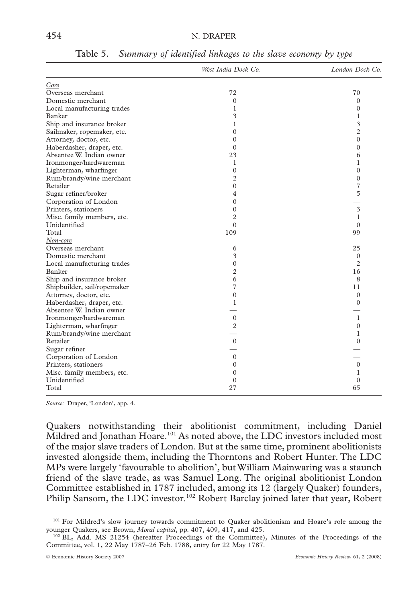|                             | West India Dock Co. | London Dock Co. |
|-----------------------------|---------------------|-----------------|
| Core                        |                     |                 |
| Overseas merchant           | 72                  | 70              |
| Domestic merchant           | $\mathbf{0}$        | $\mathbf{0}$    |
| Local manufacturing trades  | 1                   | $\mathbf{0}$    |
| Banker                      | 3                   | 1               |
| Ship and insurance broker   | 1                   | 3               |
| Sailmaker, ropemaker, etc.  | $\Omega$            | $\overline{c}$  |
| Attorney, doctor, etc.      | $\Omega$            | $\Omega$        |
| Haberdasher, draper, etc.   | $\Omega$            | $\Omega$        |
| Absentee W. Indian owner    | 23                  | 6               |
| Ironmonger/hardwareman      | $\mathbf{1}$        | $\mathbf{1}$    |
| Lighterman, wharfinger      | $\Omega$            | $\Omega$        |
| Rum/brandy/wine merchant    | 2                   | $\Omega$        |
| Retailer                    | $\mathbf{0}$        | 7               |
| Sugar refiner/broker        | 4                   | 5               |
| Corporation of London       | $\mathbf{0}$        |                 |
| Printers, stationers        | $\Omega$            | $\mathfrak{Z}$  |
| Misc. family members, etc.  | 2                   | 1               |
| Unidentified                | $\Omega$            | $\Omega$        |
| Total                       | 109                 | 99              |
| Non-core                    |                     |                 |
| Overseas merchant           | 6                   | 25              |
| Domestic merchant           | 3                   | $\mathbf{0}$    |
| Local manufacturing trades  | $\mathbf{0}$        | 2               |
| Banker                      | 2                   | 16              |
| Ship and insurance broker   | 6                   | 8               |
| Shipbuilder, sail/ropemaker | 7                   | 11              |
| Attorney, doctor, etc.      | $\mathbf{0}$        | $\mathbf{0}$    |
| Haberdasher, draper, etc.   | 1                   | $\Omega$        |
| Absentee W. Indian owner    |                     |                 |
| Ironmonger/hardwareman      | $\mathbf{0}$        | 1               |
| Lighterman, wharfinger      | $\overline{2}$      | $\mathbf{0}$    |
| Rum/brandy/wine merchant    |                     | $\mathbf{1}$    |
| Retailer                    | $\mathbf{0}$        | $\mathbf{0}$    |
| Sugar refiner               |                     |                 |
| Corporation of London       | $\mathbf{0}$        |                 |
| Printers, stationers        | 0                   | $\mathbf{0}$    |
| Misc. family members, etc.  | 0                   | 1               |
| Unidentified                | 0                   | $\mathbf{0}$    |
| Total                       | 27                  | 65              |

Table 5. *Summary of identified linkages to the slave economy by type*

*Source:* Draper, 'London', app. 4.

Quakers notwithstanding their abolitionist commitment, including Daniel Mildred and Jonathan Hoare.<sup>101</sup> As noted above, the LDC investors included most of the major slave traders of London. But at the same time, prominent abolitionists invested alongside them, including the Thorntons and Robert Hunter. The LDC MPs were largely 'favourable to abolition', butWilliam Mainwaring was a staunch friend of the slave trade, as was Samuel Long. The original abolitionist London Committee established in 1787 included, among its 12 (largely Quaker) founders, Philip Sansom, the LDC investor.<sup>102</sup> Robert Barclay joined later that year, Robert

<sup>&</sup>lt;sup>101</sup> For Mildred's slow journey towards commitment to Quaker abolitionism and Hoare's role among the younger Quakers, see Brown, *Moral capital*, pp. 407, 409, 417, and 425.

<sup>102</sup> BL, Add. MS 21254 (hereafter Proceedings of the Committee), Minutes of the Proceedings of the Committee, vol. 1, 22 May 1787–26 Feb. 1788, entry for 22 May 1787.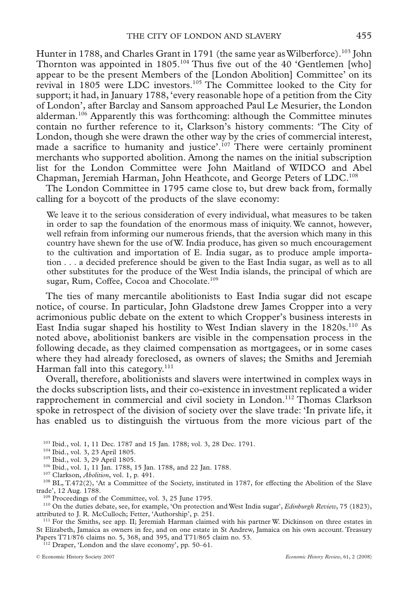Hunter in 1788, and Charles Grant in 1791 (the same year as Wilberforce).<sup>103</sup> John Thornton was appointed in  $1805$ <sup>104</sup> Thus five out of the 40 'Gentlemen [who] appear to be the present Members of the [London Abolition] Committee' on its revival in 1805 were LDC investors.105 The Committee looked to the City for support; it had, in January 1788, 'every reasonable hope of a petition from the City of London', after Barclay and Sansom approached Paul Le Mesurier, the London alderman.106 Apparently this was forthcoming: although the Committee minutes contain no further reference to it, Clarkson's history comments: 'The City of London, though she were drawn the other way by the cries of commercial interest, made a sacrifice to humanity and justice'.<sup>107</sup> There were certainly prominent merchants who supported abolition. Among the names on the initial subscription list for the London Committee were John Maitland of WIDCO and Abel Chapman, Jeremiah Harman, John Heathcote, and George Peters of LDC.108

The London Committee in 1795 came close to, but drew back from, formally calling for a boycott of the products of the slave economy:

We leave it to the serious consideration of every individual, what measures to be taken in order to sap the foundation of the enormous mass of iniquity. We cannot, however, well refrain from informing our numerous friends, that the aversion which many in this country have shewn for the use ofW. India produce, has given so much encouragement to the cultivation and importation of E. India sugar, as to produce ample importation . . . a decided preference should be given to the East India sugar, as well as to all other substitutes for the produce of the West India islands, the principal of which are sugar, Rum, Coffee, Cocoa and Chocolate.<sup>109</sup>

The ties of many mercantile abolitionists to East India sugar did not escape notice, of course. In particular, John Gladstone drew James Cropper into a very acrimonious public debate on the extent to which Cropper's business interests in East India sugar shaped his hostility to West Indian slavery in the  $1820s$ .<sup>110</sup> As noted above, abolitionist bankers are visible in the compensation process in the following decade, as they claimed compensation as mortgagees, or in some cases where they had already foreclosed, as owners of slaves; the Smiths and Jeremiah Harman fall into this category.<sup>111</sup>

Overall, therefore, abolitionists and slavers were intertwined in complex ways in the docks subscription lists, and their co-existence in investment replicated a wider rapprochement in commercial and civil society in London.<sup>112</sup> Thomas Clarkson spoke in retrospect of the division of society over the slave trade: 'In private life, it has enabled us to distinguish the virtuous from the more vicious part of the

<sup>103</sup> Ibid., vol. 1, 11 Dec. 1787 and 15 Jan. 1788; vol. 3, 28 Dec. 1791.

<sup>104</sup> Ibid., vol. 3, 23 April 1805.

<sup>105</sup> Ibid., vol. 3, 29 April 1805.

<sup>106</sup> Ibid., vol. 1, 11 Jan. 1788, 15 Jan. 1788, and 22 Jan. 1788.

<sup>107</sup> Clarkson, *Abolition*, vol. 1, p. 491.

<sup>108</sup> BL, T.472(2), 'At a Committee of the Society, instituted in 1787, for effecting the Abolition of the Slave trade', 12 Aug. 1788.

<sup>109</sup> Proceedings of the Committee, vol. 3, 25 June 1795.

<sup>110</sup> On the duties debate, see, for example, 'On protection and West India sugar', *Edinburgh Review*, 75 (1823), attributed to J. R. McCulloch; Fetter, 'Authorship', p. 251.

<sup>111</sup> For the Smiths, see app. II; Jeremiah Harman claimed with his partner W. Dickinson on three estates in St Elizabeth, Jamaica as owners in fee, and on one estate in St Andrew, Jamaica on his own account. Treasury Papers T71/876 claims no. 5, 368, and 395, and T71/865 claim no. 53.

<sup>112</sup> Draper, 'London and the slave economy', pp. 50–61.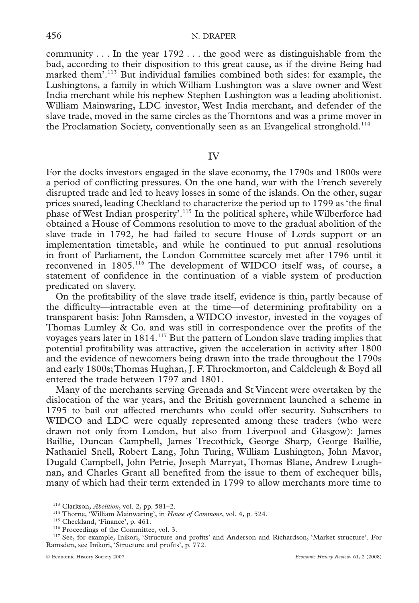community . . . In the year 1792 . . . the good were as distinguishable from the bad, according to their disposition to this great cause, as if the divine Being had marked them'.<sup>113</sup> But individual families combined both sides: for example, the Lushingtons, a family in which William Lushington was a slave owner and West India merchant while his nephew Stephen Lushington was a leading abolitionist. William Mainwaring, LDC investor, West India merchant, and defender of the slave trade, moved in the same circles as the Thorntons and was a prime mover in the Proclamation Society, conventionally seen as an Evangelical stronghold.<sup>114</sup>

## IV

For the docks investors engaged in the slave economy, the 1790s and 1800s were a period of conflicting pressures. On the one hand, war with the French severely disrupted trade and led to heavy losses in some of the islands. On the other, sugar prices soared, leading Checkland to characterize the period up to 1799 as 'the final phase of West Indian prosperity'.115 In the political sphere, while Wilberforce had obtained a House of Commons resolution to move to the gradual abolition of the slave trade in 1792, he had failed to secure House of Lords support or an implementation timetable, and while he continued to put annual resolutions in front of Parliament, the London Committee scarcely met after 1796 until it reconvened in 1805.<sup>116</sup> The development of WIDCO itself was, of course, a statement of confidence in the continuation of a viable system of production predicated on slavery.

On the profitability of the slave trade itself, evidence is thin, partly because of the difficulty—intractable even at the time—of determining profitability on a transparent basis: John Ramsden, a WIDCO investor, invested in the voyages of Thomas Lumley & Co. and was still in correspondence over the profits of the voyages years later in  $1814$ <sup>117</sup> But the pattern of London slave trading implies that potential profitability was attractive, given the acceleration in activity after 1800 and the evidence of newcomers being drawn into the trade throughout the 1790s and early 1800s;Thomas Hughan, J. F.Throckmorton, and Caldcleugh & Boyd all entered the trade between 1797 and 1801.

Many of the merchants serving Grenada and St Vincent were overtaken by the dislocation of the war years, and the British government launched a scheme in 1795 to bail out affected merchants who could offer security. Subscribers to WIDCO and LDC were equally represented among these traders (who were drawn not only from London, but also from Liverpool and Glasgow): James Baillie, Duncan Campbell, James Trecothick, George Sharp, George Baillie, Nathaniel Snell, Robert Lang, John Turing, William Lushington, John Mavor, Dugald Campbell, John Petrie, Joseph Marryat, Thomas Blane, Andrew Loughnan, and Charles Grant all benefited from the issue to them of exchequer bills, many of which had their term extended in 1799 to allow merchants more time to

<sup>113</sup> Clarkson, *Abolition*, vol. 2, pp. 581–2.

<sup>114</sup> Thorne, 'William Mainwaring', in *House of Commons*, vol. 4, p. 524.

<sup>&</sup>lt;sup>115</sup> Checkland, 'Finance', p. 461.

<sup>&</sup>lt;sup>116</sup> Proceedings of the Committee, vol. 3.

<sup>117</sup> See, for example, Inikori, 'Structure and profits' and Anderson and Richardson, 'Market structure'. For Ramsden, see Inikori, 'Structure and profits', p. 772.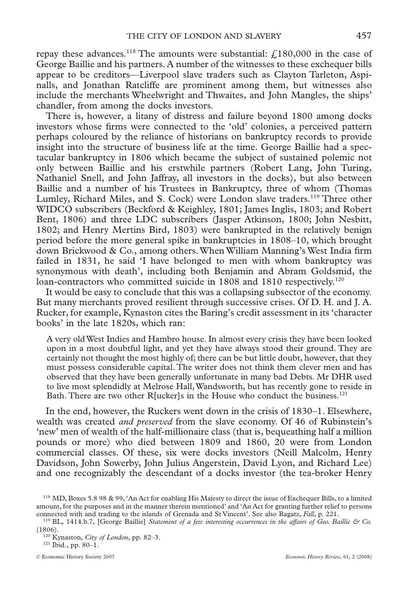repay these advances.<sup>118</sup> The amounts were substantial:  $f_{180,000}$  in the case of George Baillie and his partners. A number of the witnesses to these exchequer bills appear to be creditors—Liverpool slave traders such as Clayton Tarleton, Aspinalls, and Jonathan Ratcliffe are prominent among them, but witnesses also include the merchants Wheelwright and Thwaites, and John Mangles, the ships' chandler, from among the docks investors.

There is, however, a litany of distress and failure beyond 1800 among docks investors whose firms were connected to the 'old' colonies, a perceived pattern perhaps coloured by the reliance of historians on bankruptcy records to provide insight into the structure of business life at the time. George Baillie had a spectacular bankruptcy in 1806 which became the subject of sustained polemic not only between Baillie and his erstwhile partners (Robert Lang, John Turing, Nathaniel Snell, and John Jaffray, all investors in the docks), but also between Baillie and a number of his Trustees in Bankruptcy, three of whom (Thomas Lumley, Richard Miles, and S. Cock) were London slave traders.<sup>119</sup> Three other WIDCO subscribers (Beckford & Keighley, 1801; James Inglis, 1803; and Robert Bent, 1806) and three LDC subscribers (Jasper Atkinson, 1800; John Nesbitt, 1802; and Henry Mertins Bird, 1803) were bankrupted in the relatively benign period before the more general spike in bankruptcies in 1808–10, which brought down Brickwood & Co., among others.When William Manning's West India firm failed in 1831, he said 'I have belonged to men with whom bankruptcy was synonymous with death', including both Benjamin and Abram Goldsmid, the loan-contractors who committed suicide in 1808 and 1810 respectively.<sup>120</sup>

It would be easy to conclude that this was a collapsing subsector of the economy. But many merchants proved resilient through successive crises. Of D. H. and J. A. Rucker, for example, Kynaston cites the Baring's credit assessment in its 'character books' in the late 1820s, which ran:

A very oldWest Indies and Hambro house. In almost every crisis they have been looked upon in a most doubtful light, and yet they have always stood their ground. They are certainly not thought the most highly of; there can be but little doubt, however, that they must possess considerable capital. The writer does not think them clever men and has observed that they have been generally unfortunate in many bad Debts. Mr DHR used to live most splendidly at Melrose Hall,Wandsworth, but has recently gone to reside in Bath. There are two other R[ucker]s in the House who conduct the business.<sup>121</sup>

In the end, however, the Ruckers went down in the crisis of 1830–1. Elsewhere, wealth was created *and preserved* from the slave economy. Of 46 of Rubinstein's 'new' men of wealth of the half-millionaire class (that is, bequeathing half a million pounds or more) who died between 1809 and 1860, 20 were from London commercial classes. Of these, six were docks investors (Neill Malcolm, Henry Davidson, John Sowerby, John Julius Angerstein, David Lyon, and Richard Lee) and one recognizably the descendant of a docks investor (the tea-broker Henry

<sup>121</sup> Ibid., pp. 80–1.

<sup>118</sup> MD, Boxes 5.8 98 & 99, 'An Act for enabling His Majesty to direct the issue of Exchequer Bills, to a limited amount, for the purposes and in the manner therein mentioned' and 'An Act for granting further relief to persons connected with and trading to the islands of Grenada and St Vincent'. See also Ragatz, *Fall*, p. 221.

<sup>119</sup> BL, 1414.b.7, [George Baillie] *Statement of a few interesting occurrences in the affairs of Geo. Baillie & Co.* (1806).

<sup>120</sup> Kynaston, *City of London*, pp. 82–3.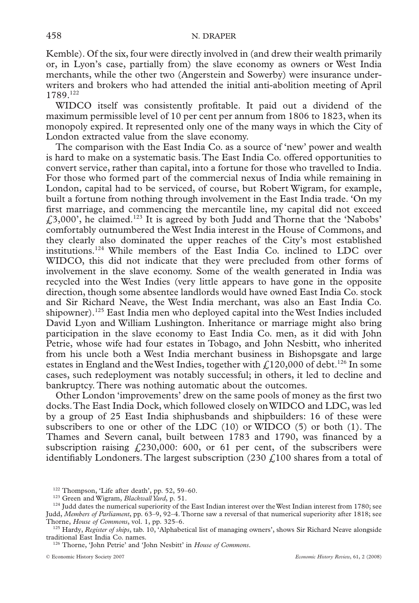Kemble). Of the six, four were directly involved in (and drew their wealth primarily or, in Lyon's case, partially from) the slave economy as owners or West India merchants, while the other two (Angerstein and Sowerby) were insurance underwriters and brokers who had attended the initial anti-abolition meeting of April 1789.122

WIDCO itself was consistently profitable. It paid out a dividend of the maximum permissible level of 10 per cent per annum from 1806 to 1823, when its monopoly expired. It represented only one of the many ways in which the City of London extracted value from the slave economy.

The comparison with the East India Co. as a source of 'new' power and wealth is hard to make on a systematic basis. The East India Co. offered opportunities to convert service, rather than capital, into a fortune for those who travelled to India. For those who formed part of the commercial nexus of India while remaining in London, capital had to be serviced, of course, but Robert Wigram, for example, built a fortune from nothing through involvement in the East India trade. 'On my first marriage, and commencing the mercantile line, my capital did not exceed  $\text{\emph{4}}3,000$ , he claimed.<sup>123</sup> It is agreed by both Judd and Thorne that the 'Nabobs' comfortably outnumbered theWest India interest in the House of Commons, and they clearly also dominated the upper reaches of the City's most established institutions.124 While members of the East India Co. inclined to LDC over WIDCO, this did not indicate that they were precluded from other forms of involvement in the slave economy. Some of the wealth generated in India was recycled into the West Indies (very little appears to have gone in the opposite direction, though some absentee landlords would have owned East India Co. stock and Sir Richard Neave, the West India merchant, was also an East India Co. shipowner).<sup>125</sup> East India men who deployed capital into the West Indies included David Lyon and William Lushington. Inheritance or marriage might also bring participation in the slave economy to East India Co. men, as it did with John Petrie, whose wife had four estates in Tobago, and John Nesbitt, who inherited from his uncle both a West India merchant business in Bishopsgate and large estates in England and the West Indies, together with  $f_{120,000}$  of debt.<sup>126</sup> In some cases, such redeployment was notably successful; in others, it led to decline and bankruptcy. There was nothing automatic about the outcomes.

Other London 'improvements' drew on the same pools of money as the first two docks.The East India Dock, which followed closely onWIDCO and LDC, was led by a group of 25 East India shiphusbands and shipbuilders: 16 of these were subscribers to one or other of the LDC (10) or WIDCO (5) or both (1). The Thames and Severn canal, built between 1783 and 1790, was financed by a subscription raising  $\frac{1}{2}$  (230,000: 600, or 61 per cent, of the subscribers were identifiably Londoners. The largest subscription  $(230 \nL 100 \nL 5)$  shares from a total of

<sup>122</sup> Thompson, 'Life after death', pp. 52, 59–60.

<sup>&</sup>lt;sup>123</sup> Green and Wigram, *BlackwallYard*, p. 51.

<sup>&</sup>lt;sup>124</sup> Judd dates the numerical superiority of the East Indian interest over the West Indian interest from 1780; see Judd, *Members of Parliament*, pp. 63–9, 92–4. Thorne saw a reversal of that numerical superiority after 1818; see Thorne, *House of Commons*, vol. 1, pp. 325–6.

<sup>125</sup> Hardy, *Register of ships*, tab. 10, 'Alphabetical list of managing owners', shows Sir Richard Neave alongside traditional East India Co. names.

<sup>126</sup> Thorne, 'John Petrie' and 'John Nesbitt' in *House of Commons*.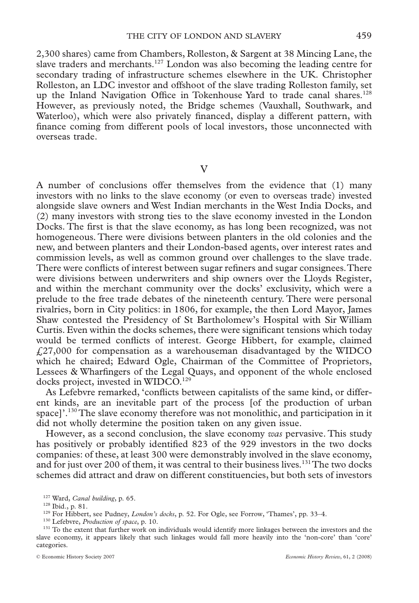2,300 shares) came from Chambers, Rolleston, & Sargent at 38 Mincing Lane, the slave traders and merchants.<sup>127</sup> London was also becoming the leading centre for secondary trading of infrastructure schemes elsewhere in the UK. Christopher Rolleston, an LDC investor and offshoot of the slave trading Rolleston family, set up the Inland Navigation Office in Tokenhouse Yard to trade canal shares.<sup>128</sup> However, as previously noted, the Bridge schemes (Vauxhall, Southwark, and Waterloo), which were also privately financed, display a different pattern, with finance coming from different pools of local investors, those unconnected with overseas trade.

V

A number of conclusions offer themselves from the evidence that (1) many investors with no links to the slave economy (or even to overseas trade) invested alongside slave owners and West Indian merchants in the West India Docks, and (2) many investors with strong ties to the slave economy invested in the London Docks. The first is that the slave economy, as has long been recognized, was not homogeneous. There were divisions between planters in the old colonies and the new, and between planters and their London-based agents, over interest rates and commission levels, as well as common ground over challenges to the slave trade. There were conflicts of interest between sugar refiners and sugar consignees.There were divisions between underwriters and ship owners over the Lloyds Register, and within the merchant community over the docks' exclusivity, which were a prelude to the free trade debates of the nineteenth century. There were personal rivalries, born in City politics: in 1806, for example, the then Lord Mayor, James Shaw contested the Presidency of St Bartholomew's Hospital with Sir William Curtis. Even within the docks schemes, there were significant tensions which today would be termed conflicts of interest. George Hibbert, for example, claimed  $f(27,000)$  for compensation as a warehouseman disadvantaged by the WIDCO which he chaired; Edward Ogle, Chairman of the Committee of Proprietors, Lessees & Wharfingers of the Legal Quays, and opponent of the whole enclosed docks project, invested in WIDCO.<sup>129</sup>

As Lefebvre remarked, 'conflicts between capitalists of the same kind, or different kinds, are an inevitable part of the process [of the production of urban space]'.<sup>130</sup>The slave economy therefore was not monolithic, and participation in it did not wholly determine the position taken on any given issue.

However, as a second conclusion, the slave economy *was* pervasive. This study has positively or probably identified 823 of the 929 investors in the two docks companies: of these, at least 300 were demonstrably involved in the slave economy, and for just over 200 of them, it was central to their business lives.<sup>131</sup> The two docks schemes did attract and draw on different constituencies, but both sets of investors

<sup>130</sup> Lefebvre, *Production of space*, p. 10.

<sup>127</sup> Ward, *Canal building*, p. 65.

<sup>128</sup> Ibid., p. 81.

<sup>129</sup> For Hibbert, see Pudney, *London's docks*, p. 52. For Ogle, see Forrow, 'Thames', pp. 33–4.

<sup>&</sup>lt;sup>131</sup> To the extent that further work on individuals would identify more linkages between the investors and the slave economy, it appears likely that such linkages would fall more heavily into the 'non-core' than 'core' categories.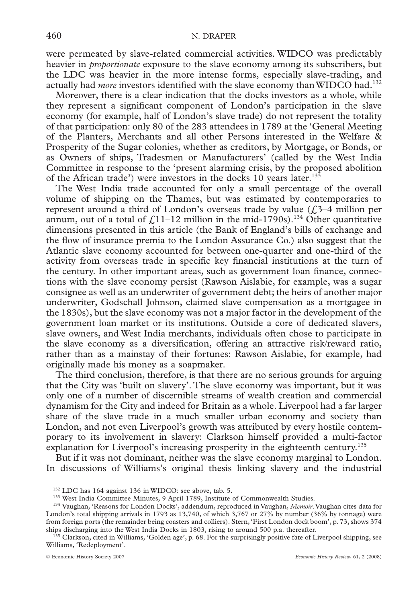were permeated by slave-related commercial activities. WIDCO was predictably heavier in *proportionate* exposure to the slave economy among its subscribers, but the LDC was heavier in the more intense forms, especially slave-trading, and actually had *more* investors identified with the slave economy than WIDCO had.<sup>132</sup>

Moreover, there is a clear indication that the docks investors as a whole, while they represent a significant component of London's participation in the slave economy (for example, half of London's slave trade) do not represent the totality of that participation: only 80 of the 283 attendees in 1789 at the 'General Meeting of the Planters, Merchants and all other Persons interested in the Welfare & Prosperity of the Sugar colonies, whether as creditors, by Mortgage, or Bonds, or as Owners of ships, Tradesmen or Manufacturers' (called by the West India Committee in response to the 'present alarming crisis, by the proposed abolition of the African trade') were investors in the docks 10 years later.<sup>133</sup>

The West India trade accounted for only a small percentage of the overall volume of shipping on the Thames, but was estimated by contemporaries to represent around a third of London's overseas trade by value  $(\xi,3-4$  million per annum, out of a total of  $f<sub>11</sub>-12$  million in the mid-1790s).<sup>134</sup> Other quantitative dimensions presented in this article (the Bank of England's bills of exchange and the flow of insurance premia to the London Assurance Co.) also suggest that the Atlantic slave economy accounted for between one-quarter and one-third of the activity from overseas trade in specific key financial institutions at the turn of the century. In other important areas, such as government loan finance, connections with the slave economy persist (Rawson Aislabie, for example, was a sugar consignee as well as an underwriter of government debt; the heirs of another major underwriter, Godschall Johnson, claimed slave compensation as a mortgagee in the 1830s), but the slave economy was not a major factor in the development of the government loan market or its institutions. Outside a core of dedicated slavers, slave owners, and West India merchants, individuals often chose to participate in the slave economy as a diversification, offering an attractive risk/reward ratio, rather than as a mainstay of their fortunes: Rawson Aislabie, for example, had originally made his money as a soapmaker.

The third conclusion, therefore, is that there are no serious grounds for arguing that the City was 'built on slavery'. The slave economy was important, but it was only one of a number of discernible streams of wealth creation and commercial dynamism for the City and indeed for Britain as a whole. Liverpool had a far larger share of the slave trade in a much smaller urban economy and society than London, and not even Liverpool's growth was attributed by every hostile contemporary to its involvement in slavery: Clarkson himself provided a multi-factor explanation for Liverpool's increasing prosperity in the eighteenth century.<sup>135</sup>

But if it was not dominant, neither was the slave economy marginal to London. In discussions of Williams's original thesis linking slavery and the industrial

<sup>135</sup> Clarkson, cited in Williams, 'Golden age', p. 68. For the surprisingly positive fate of Liverpool shipping, see Williams, 'Redeployment'.

<sup>132</sup> LDC has 164 against 136 in WIDCO: see above, tab. 5.

<sup>&</sup>lt;sup>133</sup> West India Committee Minutes, 9 April 1789, Institute of Commonwealth Studies.

<sup>134</sup> Vaughan, 'Reasons for London Docks', addendum, reproduced in Vaughan, *Memoir*.Vaughan cites data for London's total shipping arrivals in 1793 as 13,740, of which 3,767 or 27% by number (36% by tonnage) were from foreign ports (the remainder being coasters and colliers). Stern, 'First London dock boom', p. 73, shows 374 ships discharging into the West India Docks in 1803, rising to around 500 p.a. thereafter.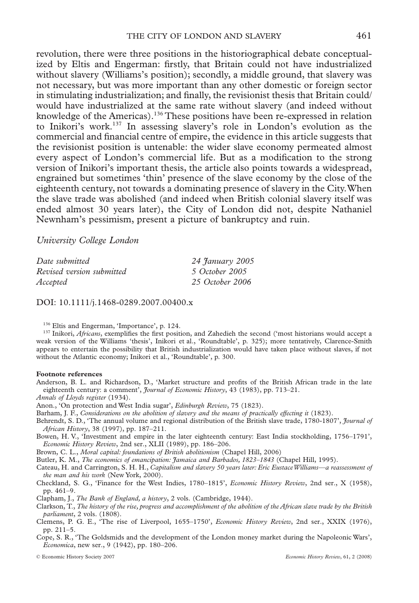revolution, there were three positions in the historiographical debate conceptualized by Eltis and Engerman: firstly, that Britain could not have industrialized without slavery (Williams's position); secondly, a middle ground, that slavery was not necessary, but was more important than any other domestic or foreign sector in stimulating industrialization; and finally, the revisionist thesis that Britain could/ would have industrialized at the same rate without slavery (and indeed without knowledge of the Americas).<sup>136</sup> These positions have been re-expressed in relation to Inikori's work.137 In assessing slavery's role in London's evolution as the commercial and financial centre of empire, the evidence in this article suggests that the revisionist position is untenable: the wider slave economy permeated almost every aspect of London's commercial life. But as a modification to the strong version of Inikori's important thesis, the article also points towards a widespread, engrained but sometimes 'thin' presence of the slave economy by the close of the eighteenth century, not towards a dominating presence of slavery in the City.When the slave trade was abolished (and indeed when British colonial slavery itself was ended almost 30 years later), the City of London did not, despite Nathaniel Newnham's pessimism, present a picture of bankruptcy and ruin.

*University College London*

| Date submitted            | 24 January 2005 |
|---------------------------|-----------------|
| Revised version submitted | 5 October 2005  |
| Accepted                  | 25 October 2006 |

#### DOI: 10.1111/j.1468-0289.2007.00400.x

<sup>136</sup> Eltis and Engerman, 'Importance', p. 124.

<sup>137</sup> Inikori, *Africans*, exemplifies the first position, and Zahedieh the second ('most historians would accept a weak version of the Williams 'thesis', Inikori et al., 'Roundtable', p. 325); more tentatively, Clarence-Smith appears to entertain the possibility that British industrialization would have taken place without slaves, if not without the Atlantic economy; Inikori et al., 'Roundtable', p. 300.

#### **Footnote references**

Anderson, B. L. and Richardson, D., 'Market structure and profits of the British African trade in the late eighteenth century: a comment', *Journal of Economic History*, 43 (1983), pp. 713–21.

*Annals of Lloyds register* (1934).

Anon., 'On protection and West India sugar', *Edinburgh Review*, 75 (1823).

- Barham, J. F., *Considerations on the abolition of slavery and the means of practically effecting it* (1823).
- Behrendt, S. D., 'The annual volume and regional distribution of the British slave trade, 1780-1807', *Journal of African History*, 38 (1997), pp. 187–211.
- Bowen, H. V., 'Investment and empire in the later eighteenth century: East India stockholding, 1756–1791', *Economic History Review*, 2nd ser., XLII (1989), pp. 186–206.

Brown, C. L., *Moral capital: foundations of British abolitionism* (Chapel Hill, 2006)

Butler, K. M., *The economics of emancipation: Jamaica and Barbados, 1823–1843* (Chapel Hill, 1995).

Cateau, H. and Carrington, S. H. H., *Capitalism and slavery 50 years later: Eric EustaceWilliams—a reassessment of the man and his work* (New York, 2000).

Checkland, S. G., 'Finance for the West Indies, 1780–1815', *Economic History Review*, 2nd ser., X (1958), pp. 461–9.

Clapham, J., *The Bank of England, a history*, 2 vols. (Cambridge, 1944).

Clarkson, T., *The history of the rise, progress and accomplishment of the abolition of the African slave trade by the British parliament*, 2 vols. (1808).

- Clemens, P. G. E., 'The rise of Liverpool, 1655–1750', *Economic History Review*, 2nd ser., XXIX (1976), pp. 211–5.
- Cope, S. R., 'The Goldsmids and the development of the London money market during the Napoleonic Wars', *Economica*, new ser., 9 (1942), pp. 180–206.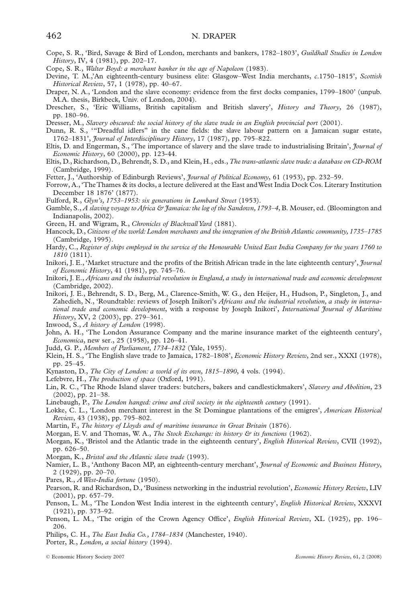- Cope, S. R., 'Bird, Savage & Bird of London, merchants and bankers, 1782–1803', *Guildhall Studies in London History*, IV, 4 (1981), pp. 202–17.
- Cope, S. R., *Walter Boyd: a merchant banker in the age of Napoleon* (1983).
- Devine, T. M.,'An eighteenth-century business elite: Glasgow–West India merchants, *c*.1750–1815', *Scottish Historical Review*, 57, 1 (1978), pp. 40–67.
- Draper, N. A., 'London and the slave economy: evidence from the first docks companies, 1799–1800' (unpub. M.A. thesis, Birkbeck, Univ. of London, 2004).
- Drescher, S., 'Eric Williams, British capitalism and British slavery', *History and Theory*, 26 (1987), pp. 180–96.
- Dresser, M., *Slavery obscured: the social history of the slave trade in an English provincial port* (2001).
- Dunn, R. S., '"Dreadful idlers" in the cane fields: the slave labour pattern on a Jamaican sugar estate, 1762–1831', *Journal of Interdisciplinary History*, 17 (1987), pp. 795–822.
- Eltis, D. and Engerman, S., 'The importance of slavery and the slave trade to industrialising Britain', *Journal of Economic History*, 60 (2000), pp. 123-44.
- Eltis, D., Richardson, D., Behrendt, S. D., and Klein, H., eds., *The trans-atlantic slave trade: a database on CD-ROM* (Cambridge, 1999).
- Fetter, J., 'Authorship of Edinburgh Reviews', *Journal of Political Economy*, 61 (1953), pp. 232–59.
- Forrow, A., 'TheThames & its docks, a lecture delivered at the East andWest India Dock Cos. Literary Institution December 18 1876' (1877).
- Fulford, R., *Glyn's, 1753–1953: six generations in Lombard Street* (1953).
- Gamble, S., *A slaving voyage to Africa & Jamaica:the log of the Sandown, 1793–4*, B. Mouser, ed. (Bloomington and Indianapolis, 2002).
- Green, H. and Wigram, R., *Chronicles of BlackwallYard* (1881).
- Hancock, D., *Citizens of the world: London merchants and the integration of the British Atlantic community, 1735–1785* (Cambridge, 1995).
- Hardy, C., *Register of ships employed in the service of the Honourable United East India Company for the years 1760 to 1810* (1811).
- Inikori, J. E., 'Market structure and the profits of the British African trade in the late eighteenth century', *Journal of Economic History*, 41 (1981), pp. 745–76.
- Inikori, J. E., *Africans and the industrial revolution in England, a study in international trade and economic development* (Cambridge, 2002).
- Inikori, J. E., Behrendt, S. D., Berg, M., Clarence-Smith, W. G., den Heijer, H., Hudson, P., Singleton, J., and Zahedieh, N., 'Roundtable: reviews of Joseph Inikori's *Africans and the industrial revolution, a study in international trade and economic development*, with a response by Joseph Inikori', *International Journal of Maritime History*, XV, 2 (2003), pp. 279–361.
- Inwood, S., *A history of London* (1998).
- John, A. H., 'The London Assurance Company and the marine insurance market of the eighteenth century', *Economica*, new ser., 25 (1958), pp. 126–41.
- Judd, G. P., *Members of Parliament, 1734–1832* (Yale, 1955).
- Klein, H. S., 'The English slave trade to Jamaica, 1782–1808', *Economic History Review*, 2nd ser., XXXI (1978), pp. 25–45.
- Kynaston, D., *The City of London: a world of its own, 1815–1890*, 4 vols. (1994).
- Lefebvre, H., *The production of space* (Oxford, 1991).
- Lin, R. C., 'The Rhode Island slaver traders: butchers, bakers and candlestickmakers', *Slavery and Abolition*, 23 (2002), pp. 21–38.
- Linebaugh, P., *The London hanged: crime and civil society in the eighteenth century* (1991).
- Lokke, C. L., 'London merchant interest in the St Domingue plantations of the emigres', *American Historical Review*, 43 (1938), pp. 795–802.
- Martin, F., *The history of Lloyds and of maritime insurance in Great Britain* (1876).
- Morgan, E. V. and Thomas, W. A., *The Stock Exchange: its history & its functions* (1962).
- Morgan, K., 'Bristol and the Atlantic trade in the eighteenth century', *English Historical Review*, CVII (1992), pp. 626–50.
- Morgan, K., *Bristol and the Atlantic slave trade* (1993).
- Namier, L. B., 'Anthony Bacon MP, an eighteenth-century merchant', *Journal of Economic and Business History*, 2 (1929), pp. 20–70.
- Pares, R., *AWest-India fortune* (1950).
- Pearson, R. and Richardson, D., 'Business networking in the industrial revolution', *Economic History Review*, LIV (2001), pp. 657–79.
- Penson, L. M., 'The London West India interest in the eighteenth century', *English Historical Review*, XXXVI (1921), pp. 373–92.
- Penson, L. M., 'The origin of the Crown Agency Office', *English Historical Review*, XL (1925), pp. 196– 206.
- Philips, C. H., *The East India Co., 1784–1834* (Manchester, 1940).
- Porter, R., *London, a social history* (1994).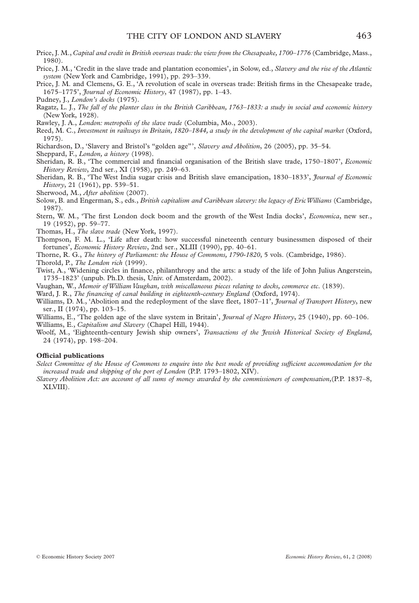- Price, J. M., *Capital and credit in British overseas trade: the view from the Chesapeake, 1700–1776* (Cambridge, Mass., 1980).
- Price, J. M., 'Credit in the slave trade and plantation economies', in Solow, ed., *Slavery and the rise of the Atlantic system* (New York and Cambridge, 1991), pp. 293–339.
- Price, J. M. and Clemens, G. E., 'A revolution of scale in overseas trade: British firms in the Chesapeake trade, 1675–1775', *Journal of Economic History*, 47 (1987), pp. 1–43.
- Pudney, J., *London's docks* (1975).
- Ragatz, L. J., *The fall of the planter class in the British Caribbean, 1763–1833: a study in social and economic history* (New York, 1928).
- Rawley, J. A., *London: metropolis of the slave trade* (Columbia, Mo., 2003).
- Reed, M. C., *Investment in railways in Britain, 1820–1844, a study in the development of the capital market* (Oxford, 1975).
- Richardson, D., 'Slavery and Bristol's "golden age"', *Slavery and Abolition*, 26 (2005), pp. 35–54.
- Sheppard, F., *London, a history* (1998).
- Sheridan, R. B., 'The commercial and financial organisation of the British slave trade, 1750–1807', *Economic History Review*, 2nd ser., XI (1958), pp. 249–63.
- Sheridan, R. B., 'The West India sugar crisis and British slave emancipation, 1830–1833', *Journal of Economic History*, 21 (1961), pp. 539–51.
- Sherwood, M., *After abolition* (2007).
- Solow, B. and Engerman, S., eds., *British capitalism and Caribbean slavery: the legacy of EricWilliams* (Cambridge, 1987).
- Stern, W. M., 'The first London dock boom and the growth of the West India docks', *Economica*, new ser., 19 (1952), pp. 59–77.
- Thomas, H., *The slave trade* (New York, 1997).
- Thompson, F. M. L., 'Life after death: how successful nineteenth century businessmen disposed of their fortunes', *Economic History Review*, 2nd ser., XLIII (1990), pp. 40–61.
- Thorne, R. G., *The history of Parliament: the House of Commons, 1790-1820*, 5 vols. (Cambridge, 1986).
- Thorold, P., *The London rich* (1999).
- Twist, A., 'Widening circles in finance, philanthropy and the arts: a study of the life of John Julius Angerstein, 1735–1823' (unpub. Ph.D. thesis, Univ. of Amsterdam, 2002).
- Vaughan, W., *Memoir ofWilliam Vaughan, with miscellaneous pieces relating to docks, commerce etc*. (1839).
- Ward, J. R., *The financing of canal building in eighteenth-century England* (Oxford, 1974).
- Williams, D. M., 'Abolition and the redeployment of the slave fleet, 1807–11', *Journal of Transport History*, new ser., II (1974), pp. 103–15.
- Williams, E., 'The golden age of the slave system in Britain', *fournal of Negro History*, 25 (1940), pp. 60–106. Williams, E., *Capitalism and Slavery* (Chapel Hill, 1944).
- Woolf, M., 'Eighteenth-century Jewish ship owners', *Transactions of the Jewish Historical Society of England*, 24 (1974), pp. 198–204.

#### **Official publications**

- *Select Committee of the House of Commons to enquire into the best mode of providing sufficient accommodation for the increased trade and shipping of the port of London* (P.P. 1793–1802, XIV).
- *Slavery Abolition Act: an account of all sums of money awarded by the commissioners of compensation*,(P.P. 1837–8, XLVIII).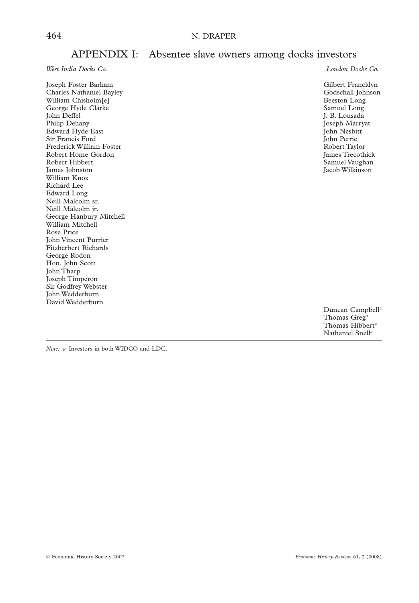| APPENDIX I: Absentee slave owners among docks investors |  |  |  |  |  |  |
|---------------------------------------------------------|--|--|--|--|--|--|
|---------------------------------------------------------|--|--|--|--|--|--|

| West India Docks Co.     | London Docks Co.             |
|--------------------------|------------------------------|
| Joseph Foster Barham     | Gilbert Francklyn            |
| Charles Nathaniel Bayley | Godschall Johnson            |
| William Chisholm[e]      | Beeston Long                 |
| George Hyde Clarke       | Samuel Long                  |
| <b>John Deffel</b>       | J. B. Lousada                |
| Philip Dehany            | Joseph Marryat               |
| Edward Hyde East         | John Nesbitt                 |
| Sir Francis Ford         | John Petrie                  |
| Frederick William Foster | Robert Taylor                |
| Robert Home Gordon       | <b>James Trecothick</b>      |
| Robert Hibbert           | Samuel Vaughan               |
| James Johnston           | Jacob Wilkinson              |
| William Knox             |                              |
| Richard Lee              |                              |
| Edward Long              |                              |
| Neill Malcolm sr.        |                              |
| Neill Malcolm jr.        |                              |
| George Hanbury Mitchell  |                              |
| William Mitchell         |                              |
| Rose Price               |                              |
| John Vincent Purrier     |                              |
| Fitzherbert Richards     |                              |
| George Rodon             |                              |
| Hon. John Scott          |                              |
| John Tharp               |                              |
| Joseph Timperon          |                              |
| Sir Godfrey Webster      |                              |
| John Wedderburn          |                              |
| David Wedderburn         |                              |
|                          | Duncan Campbell <sup>a</sup> |
|                          | Thomas Greg <sup>a</sup>     |
|                          | Thomas Hibbert <sup>a</sup>  |

*Note: a* Investors in both WIDCO and LDC.

Nathaniel Snell*<sup>a</sup>*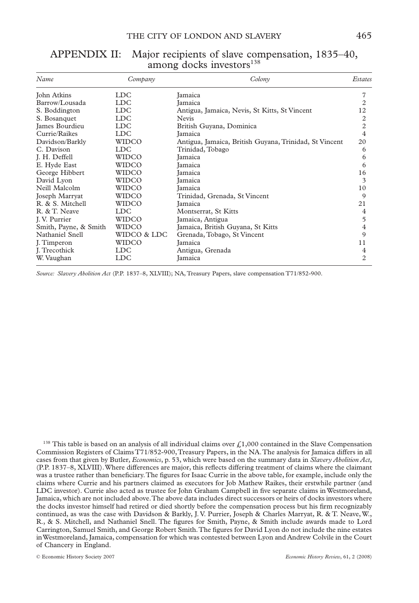## THE CITY OF LONDON AND SLAVERY 465

| Name                  | Company     | Colony                                                 | Estates        |
|-----------------------|-------------|--------------------------------------------------------|----------------|
| John Atkins           | LDC.        | Jamaica                                                | $\overline{7}$ |
| Barrow/Lousada        | LDC.        | Jamaica                                                | $\overline{2}$ |
| S. Boddington         | LDC.        | Antigua, Jamaica, Nevis, St Kitts, St Vincent          | 12             |
| S. Bosanquet          | LDC.        | <b>Nevis</b>                                           | $\overline{2}$ |
| James Bourdieu        | LDC.        | British Guyana, Dominica                               | $\overline{2}$ |
| Currie/Raikes         | LDC.        | <b>Jamaica</b>                                         | $\overline{4}$ |
| Davidson/Barkly       | WIDCO       | Antigua, Jamaica, British Guyana, Trinidad, St Vincent | 20             |
| C. Davison            | LDC.        | Trinidad, Tobago                                       | 6              |
| J. H. Deffell         | WIDCO       | Jamaica                                                | 6              |
| E. Hyde East          | WIDCO       | Jamaica                                                | 6              |
| George Hibbert        | WIDCO       | Jamaica                                                | 16             |
| David Lyon            | WIDCO       | Jamaica                                                | 3              |
| Neill Malcolm         | WIDCO       | Jamaica                                                | 10             |
| Joseph Marryat        | WIDCO       | Trinidad, Grenada, St Vincent                          | 9              |
| R. & S. Mitchell      | WIDCO       | Jamaica                                                | 21             |
| R. & T. Neave         | LDC.        | Montserrat, St Kitts                                   | 4              |
| J. V. Purrier         | WIDCO       | Jamaica, Antigua                                       | 5              |
| Smith, Payne, & Smith | WIDCO       | Jamaica, British Guyana, St Kitts                      | 4              |
| Nathaniel Snell       | WIDCO & LDC | Grenada, Tobago, St Vincent                            | 9              |
| J. Timperon           | WIDCO       | Jamaica                                                | 11             |
| J. Trecothick         | LDC.        | Antigua, Grenada                                       | 4              |
| W. Vaughan            | <b>LDC</b>  | Jamaica                                                | 2              |

## APPENDIX II: Major recipients of slave compensation, 1835–40, among docks investors<sup>138</sup>

*Source: Slavery Abolition Act* (P.P. 1837–8, XLVIII); NA, Treasury Papers, slave compensation T71/852-900.

<sup>138</sup> This table is based on an analysis of all individual claims over  $\zeta$ 1,000 contained in the Slave Compensation Commission Registers of Claims T71/852-900,Treasury Papers, in the NA.The analysis for Jamaica differs in all cases from that given by Butler, *Economics*, p. 53, which were based on the summary data in *Slavery Abolition Act*, (P.P. 1837–8, XLVIII).Where differences are major, this reflects differing treatment of claims where the claimant was a trustee rather than beneficiary.The figures for Isaac Currie in the above table, for example, include only the claims where Currie and his partners claimed as executors for Job Mathew Raikes, their erstwhile partner (and LDC investor). Currie also acted as trustee for John Graham Campbell in five separate claims inWestmoreland, Jamaica, which are not included above.The above data includes direct successors or heirs of docks investors where the docks investor himself had retired or died shortly before the compensation process but his firm recognizably continued, as was the case with Davidson & Barkly, J. V. Purrier, Joseph & Charles Marryat, R. & T. Neave,W., R., & S. Mitchell, and Nathaniel Snell. The figures for Smith, Payne, & Smith include awards made to Lord Carrington, Samuel Smith, and George Robert Smith.The figures for David Lyon do not include the nine estates inWestmoreland, Jamaica, compensation for which was contested between Lyon and Andrew Colvile in the Court of Chancery in England.